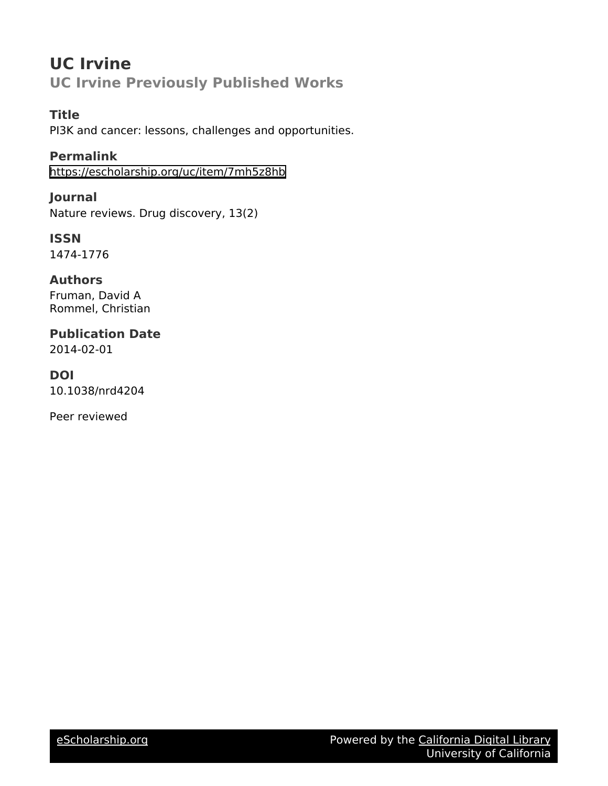# **UC Irvine UC Irvine Previously Published Works**

### **Title**

PI3K and cancer: lessons, challenges and opportunities.

**Permalink** <https://escholarship.org/uc/item/7mh5z8hb>

**Journal** Nature reviews. Drug discovery, 13(2)

**ISSN** 1474-1776

**Authors** Fruman, David A Rommel, Christian

**Publication Date** 2014-02-01

**DOI** 10.1038/nrd4204

Peer reviewed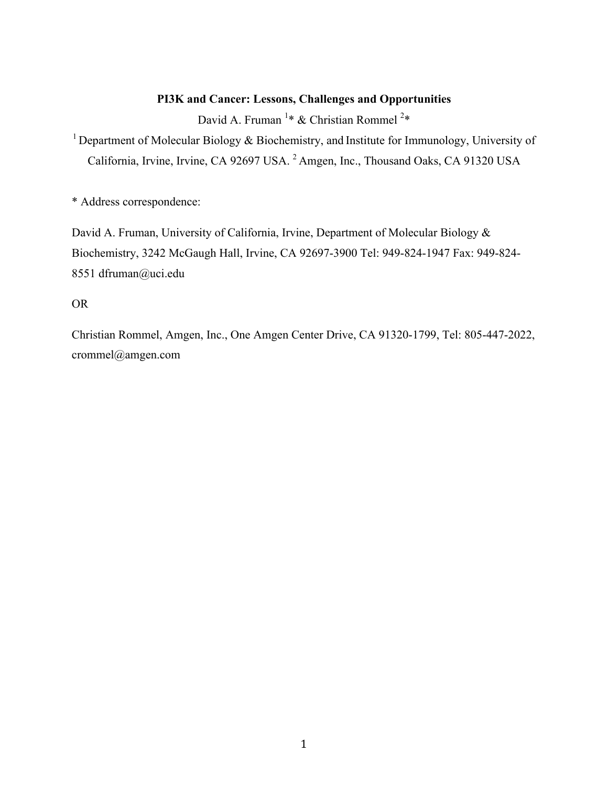### **PI3K and Cancer: Lessons, Challenges and Opportunities**

David A. Fruman <sup>1</sup>\* & Christian Rommel <sup>2</sup>\*

<sup>1</sup> Department of Molecular Biology  $\&$  Biochemistry, and Institute for Immunology, University of California, Irvine, Irvine, CA 92697 USA. 2 Amgen, Inc., Thousand Oaks, CA 91320 USA

\* Address correspondence:

David A. Fruman, University of California, Irvine, Department of Molecular Biology & Biochemistry, 3242 McGaugh Hall, Irvine, CA 92697-3900 Tel: 949-824-1947 Fax: 949-824- 8551 dfruman@uci.edu

OR

Christian Rommel, Amgen, Inc., One Amgen Center Drive, CA 91320-1799, Tel: 805-447-2022, crommel@amgen.com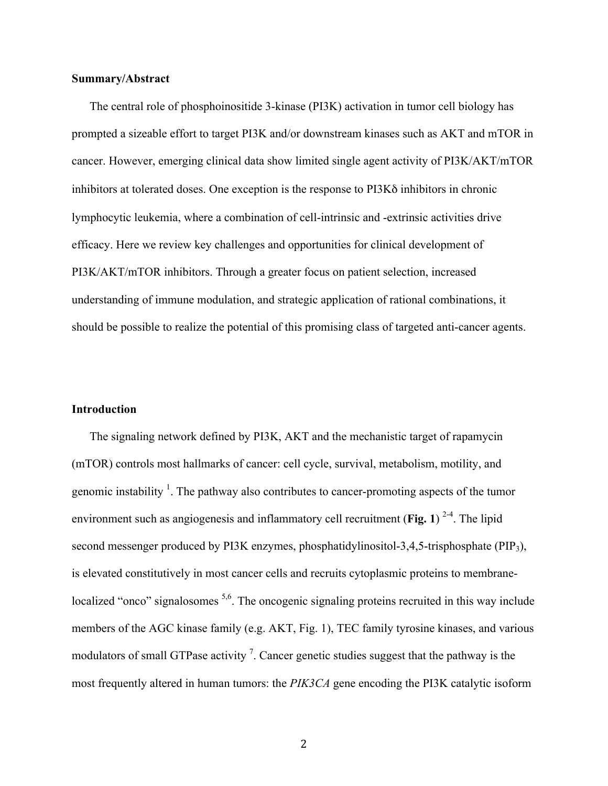#### **Summary/Abstract**

The central role of phosphoinositide 3-kinase (PI3K) activation in tumor cell biology has prompted a sizeable effort to target PI3K and/or downstream kinases such as AKT and mTOR in cancer. However, emerging clinical data show limited single agent activity of PI3K/AKT/mTOR inhibitors at tolerated doses. One exception is the response to PI3Kδ inhibitors in chronic lymphocytic leukemia, where a combination of cell-intrinsic and -extrinsic activities drive efficacy. Here we review key challenges and opportunities for clinical development of PI3K/AKT/mTOR inhibitors. Through a greater focus on patient selection, increased understanding of immune modulation, and strategic application of rational combinations, it should be possible to realize the potential of this promising class of targeted anti-cancer agents.

#### **Introduction**

The signaling network defined by PI3K, AKT and the mechanistic target of rapamycin (mTOR) controls most hallmarks of cancer: cell cycle, survival, metabolism, motility, and genomic instability  $\frac{1}{1}$ . The pathway also contributes to cancer-promoting aspects of the tumor environment such as angiogenesis and inflammatory cell recruitment (Fig. 1)<sup>2-4</sup>. The lipid second messenger produced by PI3K enzymes, phosphatidylinositol-3,4,5-trisphosphate (PIP3), is elevated constitutively in most cancer cells and recruits cytoplasmic proteins to membranelocalized "onco" signalosomes <sup>5,6</sup>. The oncogenic signaling proteins recruited in this way include members of the AGC kinase family (e.g. AKT, Fig. 1), TEC family tyrosine kinases, and various modulators of small GTPase activity<sup>7</sup>. Cancer genetic studies suggest that the pathway is the most frequently altered in human tumors: the *PIK3CA* gene encoding the PI3K catalytic isoform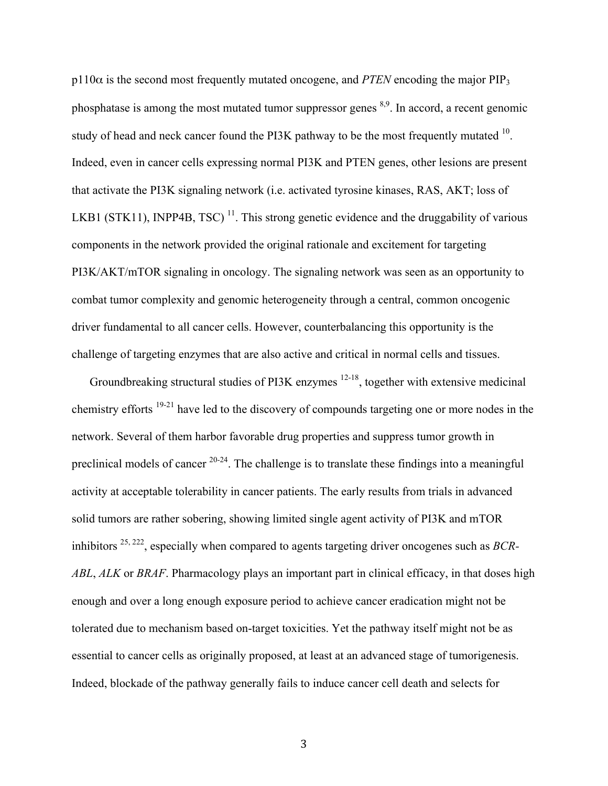$p110\alpha$  is the second most frequently mutated oncogene, and *PTEN* encoding the major PIP<sub>3</sub> phosphatase is among the most mutated tumor suppressor genes <sup>8,9</sup>. In accord, a recent genomic study of head and neck cancer found the PI3K pathway to be the most frequently mutated <sup>10</sup>. Indeed, even in cancer cells expressing normal PI3K and PTEN genes, other lesions are present that activate the PI3K signaling network (i.e. activated tyrosine kinases, RAS, AKT; loss of LKB1 (STK11), INPP4B, TSC)<sup>11</sup>. This strong genetic evidence and the druggability of various components in the network provided the original rationale and excitement for targeting PI3K/AKT/mTOR signaling in oncology. The signaling network was seen as an opportunity to combat tumor complexity and genomic heterogeneity through a central, common oncogenic driver fundamental to all cancer cells. However, counterbalancing this opportunity is the challenge of targeting enzymes that are also active and critical in normal cells and tissues.

Groundbreaking structural studies of PI3K enzymes  $12-18$ , together with extensive medicinal chemistry efforts 19-21 have led to the discovery of compounds targeting one or more nodes in the network. Several of them harbor favorable drug properties and suppress tumor growth in preclinical models of cancer  $20-24$ . The challenge is to translate these findings into a meaningful activity at acceptable tolerability in cancer patients. The early results from trials in advanced solid tumors are rather sobering, showing limited single agent activity of PI3K and mTOR inhibitors 25, 222, especially when compared to agents targeting driver oncogenes such as *BCR-ABL*, *ALK* or *BRAF*. Pharmacology plays an important part in clinical efficacy, in that doses high enough and over a long enough exposure period to achieve cancer eradication might not be tolerated due to mechanism based on-target toxicities. Yet the pathway itself might not be as essential to cancer cells as originally proposed, at least at an advanced stage of tumorigenesis. Indeed, blockade of the pathway generally fails to induce cancer cell death and selects for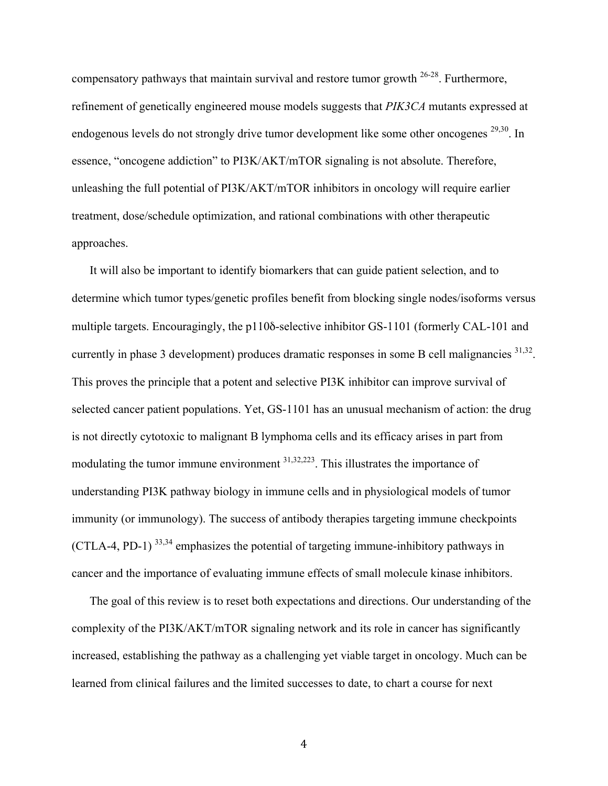compensatory pathways that maintain survival and restore tumor growth  $26-28$ . Furthermore, refinement of genetically engineered mouse models suggests that *PIK3CA* mutants expressed at endogenous levels do not strongly drive tumor development like some other oncogenes <sup>29,30</sup>. In essence, "oncogene addiction" to PI3K/AKT/mTOR signaling is not absolute. Therefore, unleashing the full potential of PI3K/AKT/mTOR inhibitors in oncology will require earlier treatment, dose/schedule optimization, and rational combinations with other therapeutic approaches.

It will also be important to identify biomarkers that can guide patient selection, and to determine which tumor types/genetic profiles benefit from blocking single nodes/isoforms versus multiple targets. Encouragingly, the p110δ-selective inhibitor GS-1101 (formerly CAL-101 and currently in phase 3 development) produces dramatic responses in some B cell malignancies  $31,32$ . This proves the principle that a potent and selective PI3K inhibitor can improve survival of selected cancer patient populations. Yet, GS-1101 has an unusual mechanism of action: the drug is not directly cytotoxic to malignant B lymphoma cells and its efficacy arises in part from modulating the tumor immune environment <sup>31,32,223</sup>. This illustrates the importance of understanding PI3K pathway biology in immune cells and in physiological models of tumor immunity (or immunology). The success of antibody therapies targeting immune checkpoints (CTLA-4, PD-1)  $^{33,34}$  emphasizes the potential of targeting immune-inhibitory pathways in cancer and the importance of evaluating immune effects of small molecule kinase inhibitors.

The goal of this review is to reset both expectations and directions. Our understanding of the complexity of the PI3K/AKT/mTOR signaling network and its role in cancer has significantly increased, establishing the pathway as a challenging yet viable target in oncology. Much can be learned from clinical failures and the limited successes to date, to chart a course for next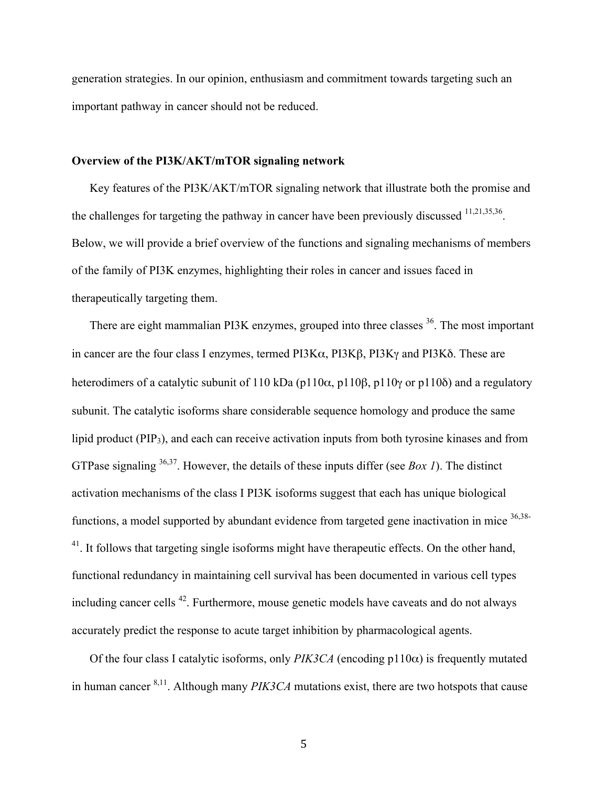generation strategies. In our opinion, enthusiasm and commitment towards targeting such an important pathway in cancer should not be reduced.

#### **Overview of the PI3K/AKT/mTOR signaling network**

Key features of the PI3K/AKT/mTOR signaling network that illustrate both the promise and the challenges for targeting the pathway in cancer have been previously discussed  $11,21,35,36$ . Below, we will provide a brief overview of the functions and signaling mechanisms of members of the family of PI3K enzymes, highlighting their roles in cancer and issues faced in therapeutically targeting them.

There are eight mammalian PI3K enzymes, grouped into three classes <sup>36</sup>. The most important in cancer are the four class I enzymes, termed PI3Kα, PI3Kβ, PI3Kγ and PI3Kδ. These are heterodimers of a catalytic subunit of 110 kDa (p110α, p110β, p110γ or p110δ) and a regulatory subunit. The catalytic isoforms share considerable sequence homology and produce the same lipid product (PIP3), and each can receive activation inputs from both tyrosine kinases and from GTPase signaling 36,37. However, the details of these inputs differ (see *Box 1*). The distinct activation mechanisms of the class I PI3K isoforms suggest that each has unique biological functions, a model supported by abundant evidence from targeted gene inactivation in mice  $36,38-$ <sup>41</sup>. It follows that targeting single isoforms might have therapeutic effects. On the other hand, functional redundancy in maintaining cell survival has been documented in various cell types including cancer cells 42. Furthermore, mouse genetic models have caveats and do not always accurately predict the response to acute target inhibition by pharmacological agents.

Of the four class I catalytic isoforms, only *PIK3CA* (encoding  $p110\alpha$ ) is frequently mutated in human cancer 8,11. Although many *PIK3CA* mutations exist, there are two hotspots that cause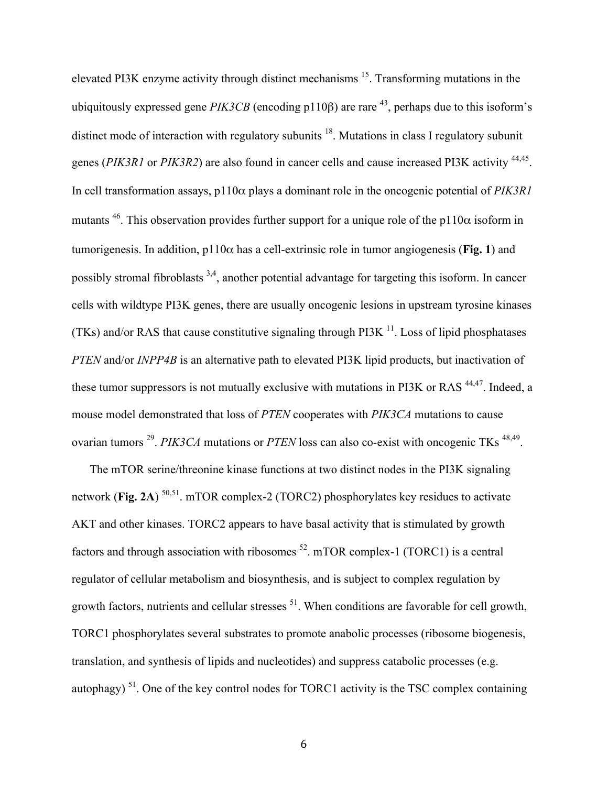elevated PI3K enzyme activity through distinct mechanisms 15. Transforming mutations in the ubiquitously expressed gene  $PIK3CB$  (encoding p110 $\beta$ ) are rare <sup>43</sup>, perhaps due to this isoform's distinct mode of interaction with regulatory subunits  $18$ . Mutations in class I regulatory subunit genes (*PIK3R1* or *PIK3R2*) are also found in cancer cells and cause increased PI3K activity 44,45. In cell transformation assays, p110α plays a dominant role in the oncogenic potential of *PIK3R1* mutants <sup>46</sup>. This observation provides further support for a unique role of the p110 $\alpha$  isoform in tumorigenesis. In addition, p110α has a cell-extrinsic role in tumor angiogenesis (**Fig. 1**) and possibly stromal fibroblasts <sup>3,4</sup>, another potential advantage for targeting this isoform. In cancer cells with wildtype PI3K genes, there are usually oncogenic lesions in upstream tyrosine kinases (TKs) and/or RAS that cause constitutive signaling through PI3K  $<sup>11</sup>$ . Loss of lipid phosphatases</sup> *PTEN* and/or *INPP4B* is an alternative path to elevated PI3K lipid products, but inactivation of these tumor suppressors is not mutually exclusive with mutations in PI3K or RAS<sup>44,47</sup>. Indeed, a mouse model demonstrated that loss of *PTEN* cooperates with *PIK3CA* mutations to cause ovarian tumors <sup>29</sup>. *PIK3CA* mutations or *PTEN* loss can also co-exist with oncogenic TKs <sup>48,49</sup>.

The mTOR serine/threonine kinase functions at two distinct nodes in the PI3K signaling network (**Fig. 2A**)<sup>50,51</sup>. mTOR complex-2 (TORC2) phosphorylates key residues to activate AKT and other kinases. TORC2 appears to have basal activity that is stimulated by growth factors and through association with ribosomes  $^{52}$ . mTOR complex-1 (TORC1) is a central regulator of cellular metabolism and biosynthesis, and is subject to complex regulation by growth factors, nutrients and cellular stresses  $<sup>51</sup>$ . When conditions are favorable for cell growth,</sup> TORC1 phosphorylates several substrates to promote anabolic processes (ribosome biogenesis, translation, and synthesis of lipids and nucleotides) and suppress catabolic processes (e.g. autophagy)  $51$ . One of the key control nodes for TORC1 activity is the TSC complex containing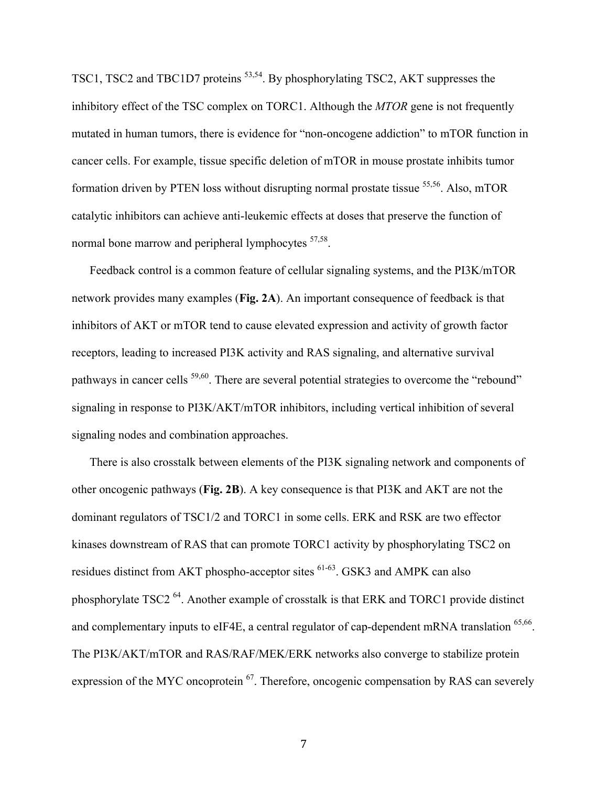TSC1, TSC2 and TBC1D7 proteins 53,54. By phosphorylating TSC2, AKT suppresses the inhibitory effect of the TSC complex on TORC1. Although the *MTOR* gene is not frequently mutated in human tumors, there is evidence for "non-oncogene addiction" to mTOR function in cancer cells. For example, tissue specific deletion of mTOR in mouse prostate inhibits tumor formation driven by PTEN loss without disrupting normal prostate tissue  $55,56$ . Also, mTOR catalytic inhibitors can achieve anti-leukemic effects at doses that preserve the function of normal bone marrow and peripheral lymphocytes <sup>57,58</sup>.

Feedback control is a common feature of cellular signaling systems, and the PI3K/mTOR network provides many examples (**Fig. 2A**). An important consequence of feedback is that inhibitors of AKT or mTOR tend to cause elevated expression and activity of growth factor receptors, leading to increased PI3K activity and RAS signaling, and alternative survival pathways in cancer cells <sup>59,60</sup>. There are several potential strategies to overcome the "rebound" signaling in response to PI3K/AKT/mTOR inhibitors, including vertical inhibition of several signaling nodes and combination approaches.

There is also crosstalk between elements of the PI3K signaling network and components of other oncogenic pathways (**Fig. 2B**). A key consequence is that PI3K and AKT are not the dominant regulators of TSC1/2 and TORC1 in some cells. ERK and RSK are two effector kinases downstream of RAS that can promote TORC1 activity by phosphorylating TSC2 on residues distinct from AKT phospho-acceptor sites <sup>61-63</sup>. GSK3 and AMPK can also phosphorylate TSC2 64. Another example of crosstalk is that ERK and TORC1 provide distinct and complementary inputs to eIF4E, a central regulator of cap-dependent mRNA translation  $65,66$ . The PI3K/AKT/mTOR and RAS/RAF/MEK/ERK networks also converge to stabilize protein expression of the MYC oncoprotein <sup>67</sup>. Therefore, oncogenic compensation by RAS can severely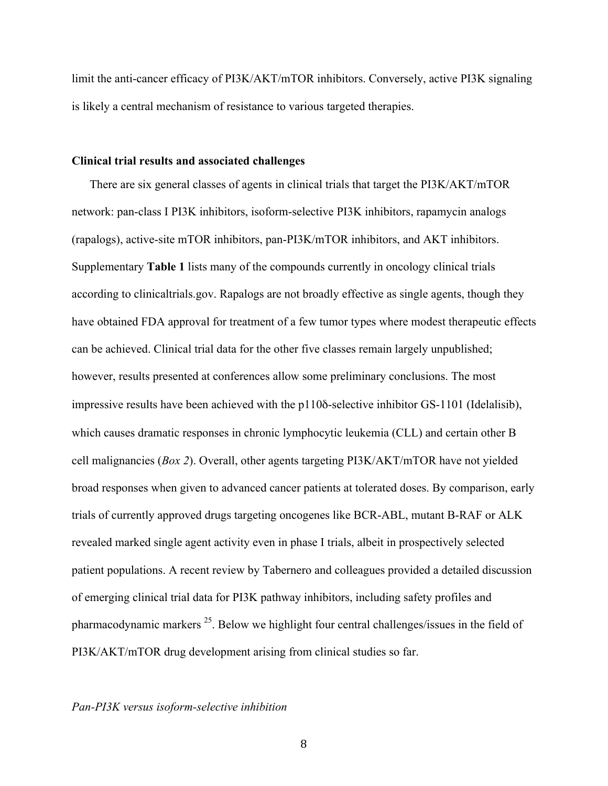limit the anti-cancer efficacy of PI3K/AKT/mTOR inhibitors. Conversely, active PI3K signaling is likely a central mechanism of resistance to various targeted therapies.

#### **Clinical trial results and associated challenges**

There are six general classes of agents in clinical trials that target the PI3K/AKT/mTOR network: pan-class I PI3K inhibitors, isoform-selective PI3K inhibitors, rapamycin analogs (rapalogs), active-site mTOR inhibitors, pan-PI3K/mTOR inhibitors, and AKT inhibitors. Supplementary **Table 1** lists many of the compounds currently in oncology clinical trials according to clinicaltrials.gov. Rapalogs are not broadly effective as single agents, though they have obtained FDA approval for treatment of a few tumor types where modest therapeutic effects can be achieved. Clinical trial data for the other five classes remain largely unpublished; however, results presented at conferences allow some preliminary conclusions. The most impressive results have been achieved with the p110δ-selective inhibitor GS-1101 (Idelalisib), which causes dramatic responses in chronic lymphocytic leukemia (CLL) and certain other B cell malignancies (*Box 2*). Overall, other agents targeting PI3K/AKT/mTOR have not yielded broad responses when given to advanced cancer patients at tolerated doses. By comparison, early trials of currently approved drugs targeting oncogenes like BCR-ABL, mutant B-RAF or ALK revealed marked single agent activity even in phase I trials, albeit in prospectively selected patient populations. A recent review by Tabernero and colleagues provided a detailed discussion of emerging clinical trial data for PI3K pathway inhibitors, including safety profiles and pharmacodynamic markers 25. Below we highlight four central challenges/issues in the field of PI3K/AKT/mTOR drug development arising from clinical studies so far.

#### *Pan-PI3K versus isoform-selective inhibition*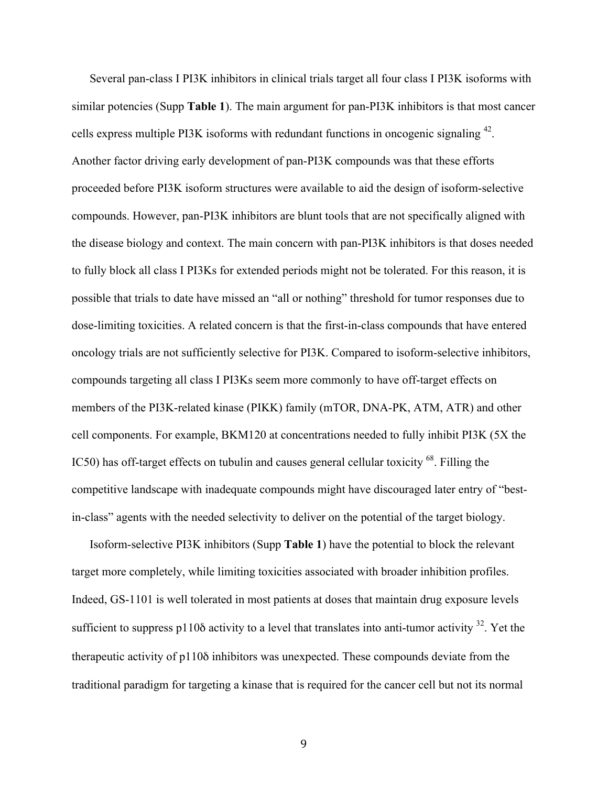Several pan-class I PI3K inhibitors in clinical trials target all four class I PI3K isoforms with similar potencies (Supp **Table 1**). The main argument for pan-PI3K inhibitors is that most cancer cells express multiple PI3K isoforms with redundant functions in oncogenic signaling 42. Another factor driving early development of pan-PI3K compounds was that these efforts proceeded before PI3K isoform structures were available to aid the design of isoform-selective compounds. However, pan-PI3K inhibitors are blunt tools that are not specifically aligned with the disease biology and context. The main concern with pan-PI3K inhibitors is that doses needed to fully block all class I PI3Ks for extended periods might not be tolerated. For this reason, it is possible that trials to date have missed an "all or nothing" threshold for tumor responses due to dose-limiting toxicities. A related concern is that the first-in-class compounds that have entered oncology trials are not sufficiently selective for PI3K. Compared to isoform-selective inhibitors, compounds targeting all class I PI3Ks seem more commonly to have off-target effects on members of the PI3K-related kinase (PIKK) family (mTOR, DNA-PK, ATM, ATR) and other cell components. For example, BKM120 at concentrations needed to fully inhibit PI3K (5X the IC50) has off-target effects on tubulin and causes general cellular toxicity <sup>68</sup>. Filling the competitive landscape with inadequate compounds might have discouraged later entry of "bestin-class" agents with the needed selectivity to deliver on the potential of the target biology.

Isoform-selective PI3K inhibitors (Supp **Table 1**) have the potential to block the relevant target more completely, while limiting toxicities associated with broader inhibition profiles. Indeed, GS-1101 is well tolerated in most patients at doses that maintain drug exposure levels sufficient to suppress p110 $\delta$  activity to a level that translates into anti-tumor activity  $^{32}$ . Yet the therapeutic activity of p110δ inhibitors was unexpected. These compounds deviate from the traditional paradigm for targeting a kinase that is required for the cancer cell but not its normal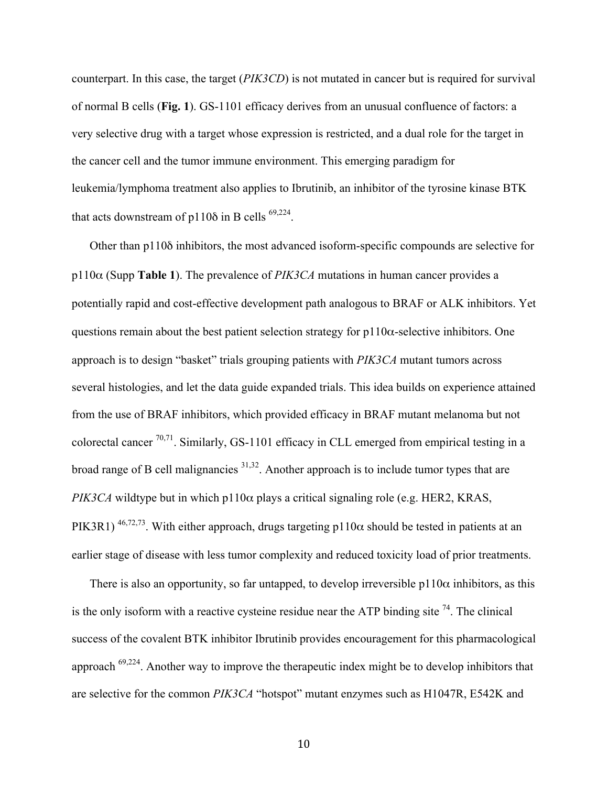counterpart. In this case, the target (*PIK3CD*) is not mutated in cancer but is required for survival of normal B cells (**Fig. 1**). GS-1101 efficacy derives from an unusual confluence of factors: a very selective drug with a target whose expression is restricted, and a dual role for the target in the cancer cell and the tumor immune environment. This emerging paradigm for leukemia/lymphoma treatment also applies to Ibrutinib, an inhibitor of the tyrosine kinase BTK that acts downstream of  $p110\delta$  in B cells <sup>69,224</sup>.

Other than p110δ inhibitors, the most advanced isoform-specific compounds are selective for p110α (Supp **Table 1**). The prevalence of *PIK3CA* mutations in human cancer provides a potentially rapid and cost-effective development path analogous to BRAF or ALK inhibitors. Yet questions remain about the best patient selection strategy for  $p110\alpha$ -selective inhibitors. One approach is to design "basket" trials grouping patients with *PIK3CA* mutant tumors across several histologies, and let the data guide expanded trials. This idea builds on experience attained from the use of BRAF inhibitors, which provided efficacy in BRAF mutant melanoma but not colorectal cancer  $^{70,71}$ . Similarly, GS-1101 efficacy in CLL emerged from empirical testing in a broad range of B cell malignancies  $31,32$ . Another approach is to include tumor types that are *PIK3CA* wildtype but in which p110 $\alpha$  plays a critical signaling role (e.g. HER2, KRAS, PIK3R1)<sup>46,72,73</sup>. With either approach, drugs targeting p110 $\alpha$  should be tested in patients at an earlier stage of disease with less tumor complexity and reduced toxicity load of prior treatments.

There is also an opportunity, so far untapped, to develop irreversible  $p110\alpha$  inhibitors, as this is the only isoform with a reactive cysteine residue near the ATP binding site  $^{74}$ . The clinical success of the covalent BTK inhibitor Ibrutinib provides encouragement for this pharmacological approach 69,224. Another way to improve the therapeutic index might be to develop inhibitors that are selective for the common *PIK3CA* "hotspot" mutant enzymes such as H1047R, E542K and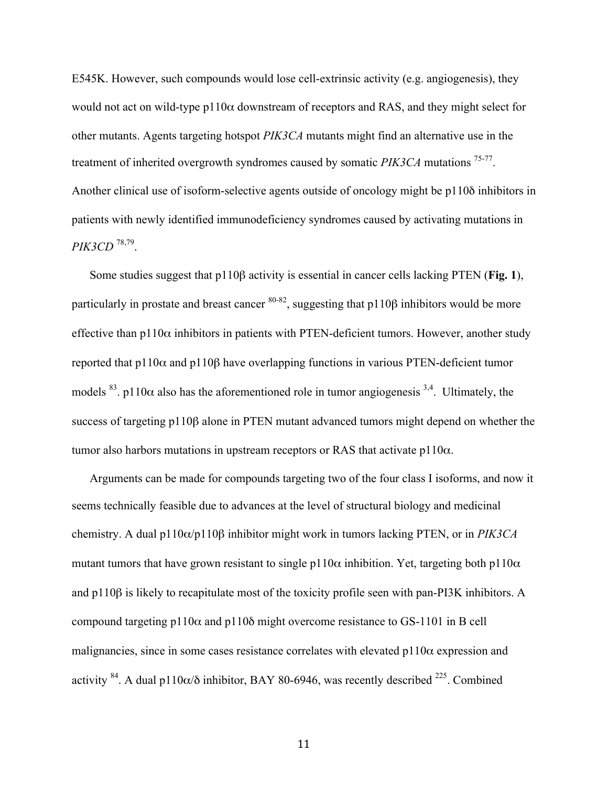E545K. However, such compounds would lose cell-extrinsic activity (e.g. angiogenesis), they would not act on wild-type  $p110\alpha$  downstream of receptors and RAS, and they might select for other mutants. Agents targeting hotspot *PIK3CA* mutants might find an alternative use in the treatment of inherited overgrowth syndromes caused by somatic *PIK3CA* mutations 75-77. Another clinical use of isoform-selective agents outside of oncology might be p110δ inhibitors in patients with newly identified immunodeficiency syndromes caused by activating mutations in *PIK3CD* 78,79.

Some studies suggest that p110β activity is essential in cancer cells lacking PTEN (**Fig. 1**), particularly in prostate and breast cancer  $80-82$ , suggesting that p110β inhibitors would be more effective than  $p110\alpha$  inhibitors in patients with PTEN-deficient tumors. However, another study reported that p110 $α$  and p110 $β$  have overlapping functions in various PTEN-deficient tumor models <sup>83</sup>. p110 $\alpha$  also has the aforementioned role in tumor angiogenesis <sup>3,4</sup>. Ultimately, the success of targeting p110β alone in PTEN mutant advanced tumors might depend on whether the tumor also harbors mutations in upstream receptors or RAS that activate  $p110\alpha$ .

Arguments can be made for compounds targeting two of the four class I isoforms, and now it seems technically feasible due to advances at the level of structural biology and medicinal chemistry. A dual p110α/p110β inhibitor might work in tumors lacking PTEN, or in *PIK3CA* mutant tumors that have grown resistant to single p110 $\alpha$  inhibition. Yet, targeting both p110 $\alpha$ and p110β is likely to recapitulate most of the toxicity profile seen with pan-PI3K inhibitors. A compound targeting p110 $\alpha$  and p110 $\delta$  might overcome resistance to GS-1101 in B cell malignancies, since in some cases resistance correlates with elevated  $p110\alpha$  expression and activity <sup>84</sup>. A dual p110 $\alpha$ / $\delta$  inhibitor, BAY 80-6946, was recently described <sup>225</sup>. Combined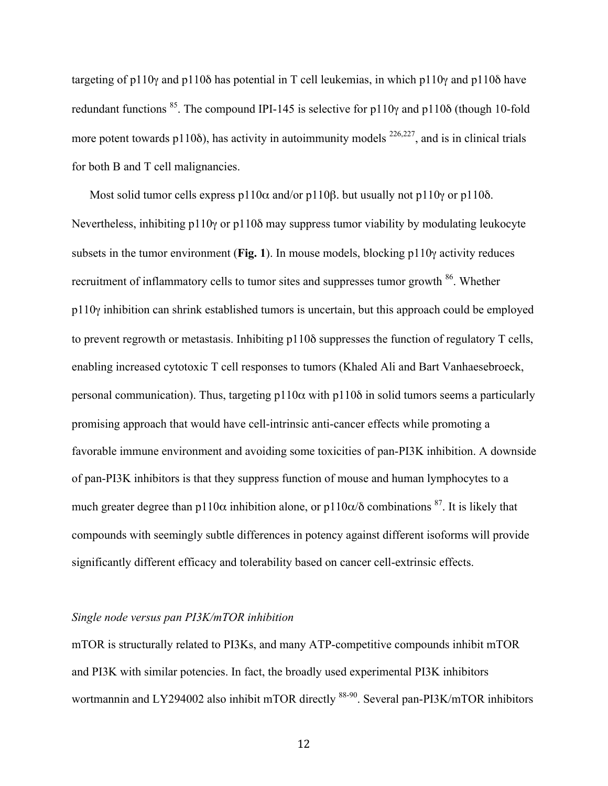targeting of p110γ and p110δ has potential in T cell leukemias, in which p110γ and p110δ have redundant functions <sup>85</sup>. The compound IPI-145 is selective for p110 $\gamma$  and p110 $\delta$  (though 10-fold more potent towards p110 $\delta$ ), has activity in autoimmunity models <sup>226,227</sup>, and is in clinical trials for both B and T cell malignancies.

Most solid tumor cells express p110 $\alpha$  and/or p110 $\beta$ . but usually not p110 $\gamma$  or p110 $\delta$ . Nevertheless, inhibiting p110γ or p110δ may suppress tumor viability by modulating leukocyte subsets in the tumor environment (**Fig. 1**). In mouse models, blocking p110γ activity reduces recruitment of inflammatory cells to tumor sites and suppresses tumor growth <sup>86</sup>. Whether p110γ inhibition can shrink established tumors is uncertain, but this approach could be employed to prevent regrowth or metastasis. Inhibiting p110δ suppresses the function of regulatory T cells, enabling increased cytotoxic T cell responses to tumors (Khaled Ali and Bart Vanhaesebroeck, personal communication). Thus, targeting  $p110\alpha$  with  $p110\delta$  in solid tumors seems a particularly promising approach that would have cell-intrinsic anti-cancer effects while promoting a favorable immune environment and avoiding some toxicities of pan-PI3K inhibition. A downside of pan-PI3K inhibitors is that they suppress function of mouse and human lymphocytes to a much greater degree than p110 $\alpha$  inhibition alone, or p110 $\alpha/\delta$  combinations <sup>87</sup>. It is likely that compounds with seemingly subtle differences in potency against different isoforms will provide significantly different efficacy and tolerability based on cancer cell-extrinsic effects.

#### *Single node versus pan PI3K/mTOR inhibition*

mTOR is structurally related to PI3Ks, and many ATP-competitive compounds inhibit mTOR and PI3K with similar potencies. In fact, the broadly used experimental PI3K inhibitors wortmannin and LY294002 also inhibit mTOR directly <sup>88-90</sup>. Several pan-PI3K/mTOR inhibitors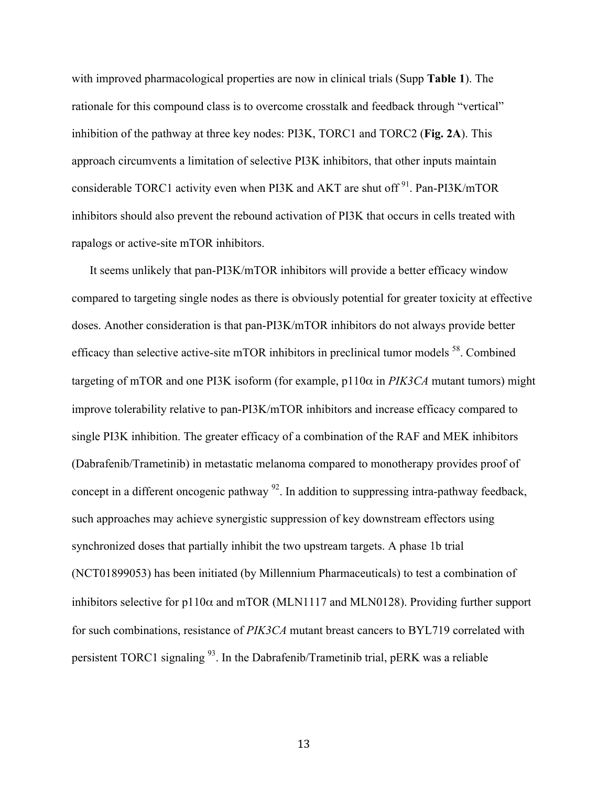with improved pharmacological properties are now in clinical trials (Supp **Table 1**). The rationale for this compound class is to overcome crosstalk and feedback through "vertical" inhibition of the pathway at three key nodes: PI3K, TORC1 and TORC2 (**Fig. 2A**). This approach circumvents a limitation of selective PI3K inhibitors, that other inputs maintain considerable TORC1 activity even when PI3K and AKT are shut off  $91$ . Pan-PI3K/mTOR inhibitors should also prevent the rebound activation of PI3K that occurs in cells treated with rapalogs or active-site mTOR inhibitors.

It seems unlikely that pan-PI3K/mTOR inhibitors will provide a better efficacy window compared to targeting single nodes as there is obviously potential for greater toxicity at effective doses. Another consideration is that pan-PI3K/mTOR inhibitors do not always provide better efficacy than selective active-site mTOR inhibitors in preclinical tumor models 58. Combined targeting of mTOR and one PI3K isoform (for example, p110α in *PIK3CA* mutant tumors) might improve tolerability relative to pan-PI3K/mTOR inhibitors and increase efficacy compared to single PI3K inhibition. The greater efficacy of a combination of the RAF and MEK inhibitors (Dabrafenib/Trametinib) in metastatic melanoma compared to monotherapy provides proof of concept in a different oncogenic pathway  $92$ . In addition to suppressing intra-pathway feedback, such approaches may achieve synergistic suppression of key downstream effectors using synchronized doses that partially inhibit the two upstream targets. A phase 1b trial (NCT01899053) has been initiated (by Millennium Pharmaceuticals) to test a combination of inhibitors selective for  $p110\alpha$  and mTOR (MLN1117 and MLN0128). Providing further support for such combinations, resistance of *PIK3CA* mutant breast cancers to BYL719 correlated with persistent TORC1 signaling 93. In the Dabrafenib/Trametinib trial, pERK was a reliable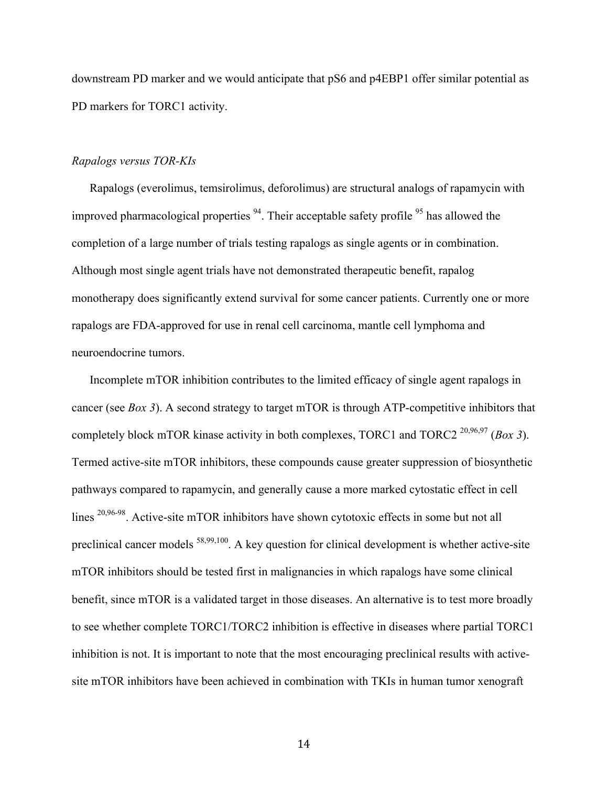downstream PD marker and we would anticipate that pS6 and p4EBP1 offer similar potential as PD markers for TORC1 activity.

#### *Rapalogs versus TOR-KIs*

Rapalogs (everolimus, temsirolimus, deforolimus) are structural analogs of rapamycin with improved pharmacological properties  $94$ . Their acceptable safety profile  $95$  has allowed the completion of a large number of trials testing rapalogs as single agents or in combination. Although most single agent trials have not demonstrated therapeutic benefit, rapalog monotherapy does significantly extend survival for some cancer patients. Currently one or more rapalogs are FDA-approved for use in renal cell carcinoma, mantle cell lymphoma and neuroendocrine tumors.

Incomplete mTOR inhibition contributes to the limited efficacy of single agent rapalogs in cancer (see *Box 3*). A second strategy to target mTOR is through ATP-competitive inhibitors that completely block mTOR kinase activity in both complexes, TORC1 and TORC2 20,96,97 (*Box 3*). Termed active-site mTOR inhibitors, these compounds cause greater suppression of biosynthetic pathways compared to rapamycin, and generally cause a more marked cytostatic effect in cell lines <sup>20,96-98</sup>. Active-site mTOR inhibitors have shown cytotoxic effects in some but not all preclinical cancer models 58,99,100. A key question for clinical development is whether active-site mTOR inhibitors should be tested first in malignancies in which rapalogs have some clinical benefit, since mTOR is a validated target in those diseases. An alternative is to test more broadly to see whether complete TORC1/TORC2 inhibition is effective in diseases where partial TORC1 inhibition is not. It is important to note that the most encouraging preclinical results with activesite mTOR inhibitors have been achieved in combination with TKIs in human tumor xenograft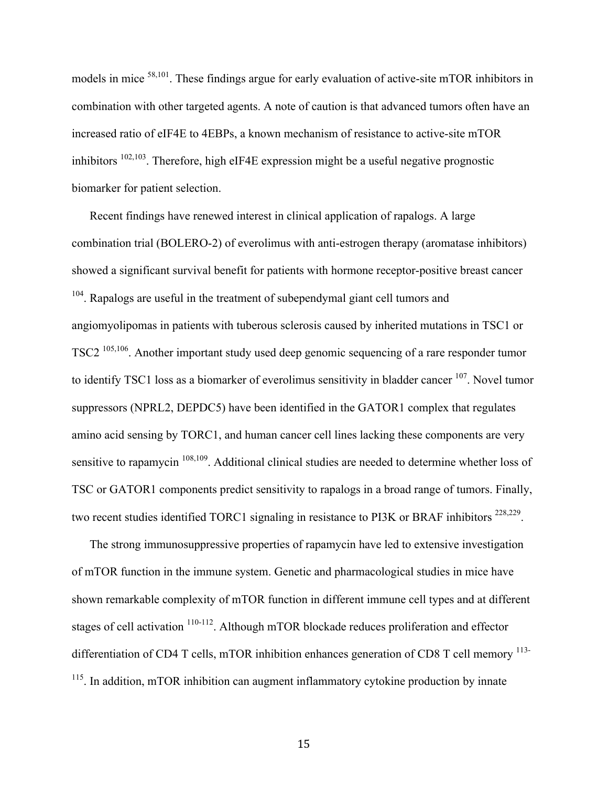models in mice 58,101. These findings argue for early evaluation of active-site mTOR inhibitors in combination with other targeted agents. A note of caution is that advanced tumors often have an increased ratio of eIF4E to 4EBPs, a known mechanism of resistance to active-site mTOR inhibitors  $102,103$ . Therefore, high eIF4E expression might be a useful negative prognostic biomarker for patient selection.

Recent findings have renewed interest in clinical application of rapalogs. A large combination trial (BOLERO-2) of everolimus with anti-estrogen therapy (aromatase inhibitors) showed a significant survival benefit for patients with hormone receptor-positive breast cancer <sup>104</sup>. Rapalogs are useful in the treatment of subependymal giant cell tumors and angiomyolipomas in patients with tuberous sclerosis caused by inherited mutations in TSC1 or TSC2 105,106. Another important study used deep genomic sequencing of a rare responder tumor to identify TSC1 loss as a biomarker of everolimus sensitivity in bladder cancer <sup>107</sup>. Novel tumor suppressors (NPRL2, DEPDC5) have been identified in the GATOR1 complex that regulates amino acid sensing by TORC1, and human cancer cell lines lacking these components are very sensitive to rapamycin <sup>108,109</sup>. Additional clinical studies are needed to determine whether loss of TSC or GATOR1 components predict sensitivity to rapalogs in a broad range of tumors. Finally, two recent studies identified TORC1 signaling in resistance to PI3K or BRAF inhibitors<sup>228,229</sup>.

The strong immunosuppressive properties of rapamycin have led to extensive investigation of mTOR function in the immune system. Genetic and pharmacological studies in mice have shown remarkable complexity of mTOR function in different immune cell types and at different stages of cell activation  $110-112$ . Although mTOR blockade reduces proliferation and effector differentiation of CD4 T cells, mTOR inhibition enhances generation of CD8 T cell memory <sup>113-</sup> <sup>115</sup>. In addition, mTOR inhibition can augment inflammatory cytokine production by innate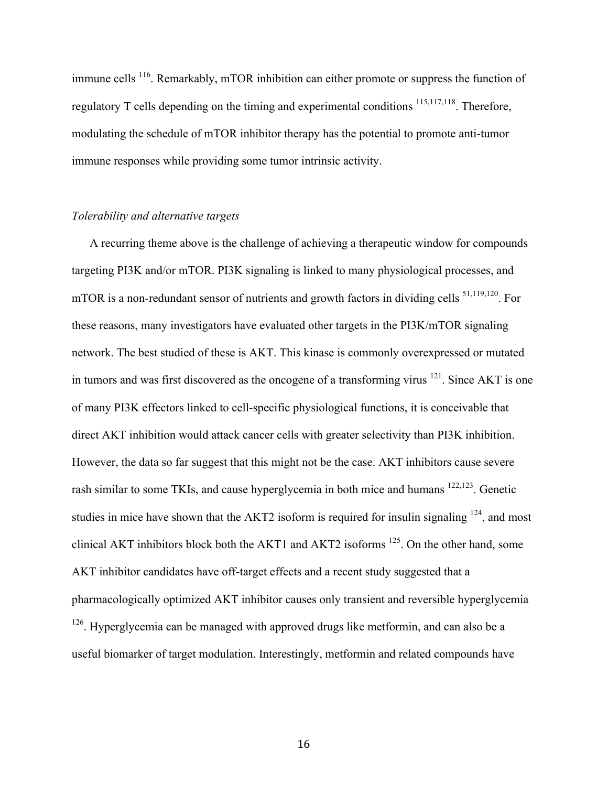immune cells <sup>116</sup>. Remarkably, mTOR inhibition can either promote or suppress the function of regulatory T cells depending on the timing and experimental conditions <sup>115,117,118</sup>. Therefore, modulating the schedule of mTOR inhibitor therapy has the potential to promote anti-tumor immune responses while providing some tumor intrinsic activity.

#### *Tolerability and alternative targets*

A recurring theme above is the challenge of achieving a therapeutic window for compounds targeting PI3K and/or mTOR. PI3K signaling is linked to many physiological processes, and mTOR is a non-redundant sensor of nutrients and growth factors in dividing cells  $51,119,120$ . For these reasons, many investigators have evaluated other targets in the PI3K/mTOR signaling network. The best studied of these is AKT. This kinase is commonly overexpressed or mutated in tumors and was first discovered as the oncogene of a transforming virus  $^{121}$ . Since AKT is one of many PI3K effectors linked to cell-specific physiological functions, it is conceivable that direct AKT inhibition would attack cancer cells with greater selectivity than PI3K inhibition. However, the data so far suggest that this might not be the case. AKT inhibitors cause severe rash similar to some TKIs, and cause hyperglycemia in both mice and humans 122,123. Genetic studies in mice have shown that the AKT2 isoform is required for insulin signaling <sup>124</sup>, and most clinical AKT inhibitors block both the AKT1 and AKT2 isoforms 125. On the other hand, some AKT inhibitor candidates have off-target effects and a recent study suggested that a pharmacologically optimized AKT inhibitor causes only transient and reversible hyperglycemia <sup>126</sup>. Hyperglycemia can be managed with approved drugs like metformin, and can also be a useful biomarker of target modulation. Interestingly, metformin and related compounds have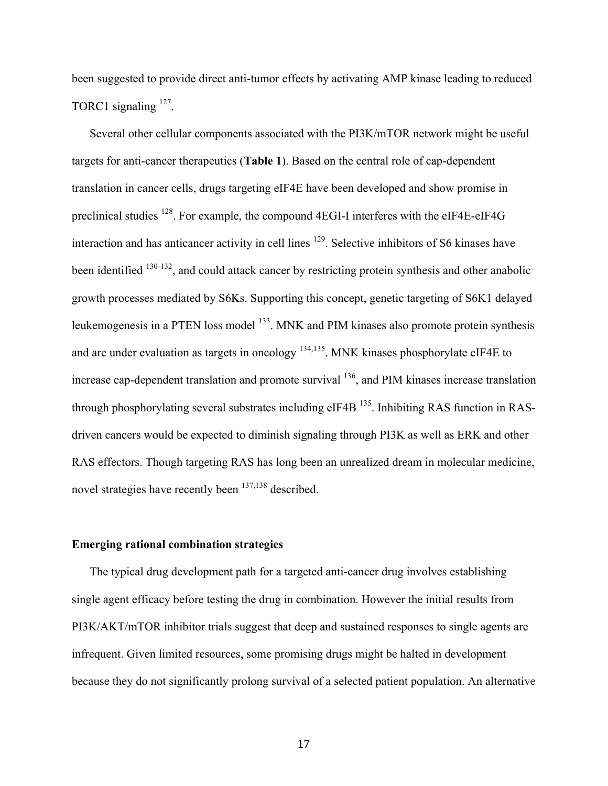been suggested to provide direct anti-tumor effects by activating AMP kinase leading to reduced TORC1 signaling <sup>127</sup>.

Several other cellular components associated with the PI3K/mTOR network might be useful targets for anti-cancer therapeutics (**Table 1**). Based on the central role of cap-dependent translation in cancer cells, drugs targeting eIF4E have been developed and show promise in preclinical studies 128. For example, the compound 4EGI-I interferes with the eIF4E-eIF4G interaction and has anticancer activity in cell lines  $129$ . Selective inhibitors of S6 kinases have been identified <sup>130-132</sup>, and could attack cancer by restricting protein synthesis and other anabolic growth processes mediated by S6Ks. Supporting this concept, genetic targeting of S6K1 delayed leukemogenesis in a PTEN loss model <sup>133</sup>. MNK and PIM kinases also promote protein synthesis and are under evaluation as targets in oncology <sup>134,135</sup>. MNK kinases phosphorylate eIF4E to increase cap-dependent translation and promote survival  $^{136}$ , and PIM kinases increase translation through phosphorylating several substrates including eIF4B <sup>135</sup>. Inhibiting RAS function in RASdriven cancers would be expected to diminish signaling through PI3K as well as ERK and other RAS effectors. Though targeting RAS has long been an unrealized dream in molecular medicine, novel strategies have recently been <sup>137,138</sup> described.

#### **Emerging rational combination strategies**

The typical drug development path for a targeted anti-cancer drug involves establishing single agent efficacy before testing the drug in combination. However the initial results from PI3K/AKT/mTOR inhibitor trials suggest that deep and sustained responses to single agents are infrequent. Given limited resources, some promising drugs might be halted in development because they do not significantly prolong survival of a selected patient population. An alternative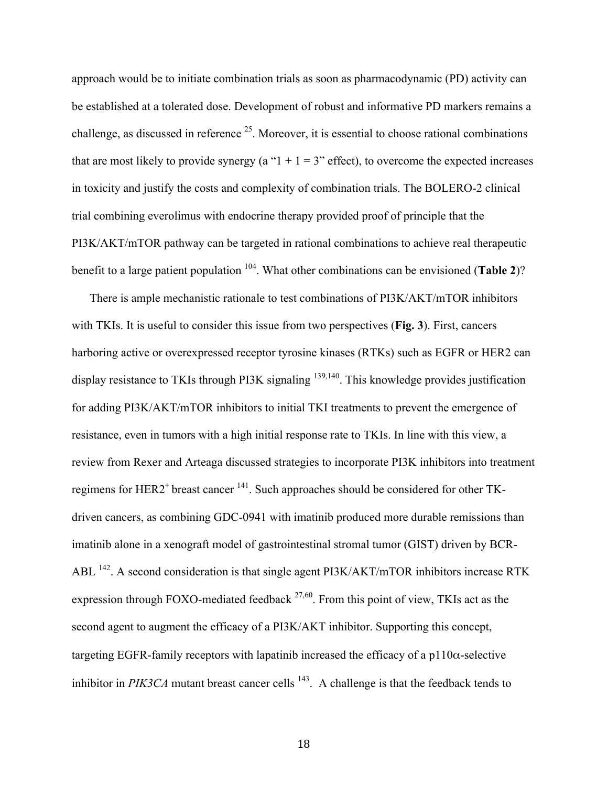approach would be to initiate combination trials as soon as pharmacodynamic (PD) activity can be established at a tolerated dose. Development of robust and informative PD markers remains a challenge, as discussed in reference  $2<sup>5</sup>$ . Moreover, it is essential to choose rational combinations that are most likely to provide synergy (a " $1 + 1 = 3$ " effect), to overcome the expected increases in toxicity and justify the costs and complexity of combination trials. The BOLERO-2 clinical trial combining everolimus with endocrine therapy provided proof of principle that the PI3K/AKT/mTOR pathway can be targeted in rational combinations to achieve real therapeutic benefit to a large patient population 104. What other combinations can be envisioned (**Table 2**)?

There is ample mechanistic rationale to test combinations of PI3K/AKT/mTOR inhibitors with TKIs. It is useful to consider this issue from two perspectives (**Fig. 3**). First, cancers harboring active or overexpressed receptor tyrosine kinases (RTKs) such as EGFR or HER2 can display resistance to TKIs through PI3K signaling <sup>139,140</sup>. This knowledge provides justification for adding PI3K/AKT/mTOR inhibitors to initial TKI treatments to prevent the emergence of resistance, even in tumors with a high initial response rate to TKIs. In line with this view, a review from Rexer and Arteaga discussed strategies to incorporate PI3K inhibitors into treatment regimens for HER2<sup>+</sup> breast cancer <sup>141</sup>. Such approaches should be considered for other TKdriven cancers, as combining GDC-0941 with imatinib produced more durable remissions than imatinib alone in a xenograft model of gastrointestinal stromal tumor (GIST) driven by BCR-ABL <sup>142</sup>. A second consideration is that single agent PI3K/AKT/mTOR inhibitors increase RTK expression through FOXO-mediated feedback  $27,60$ . From this point of view, TKIs act as the second agent to augment the efficacy of a PI3K/AKT inhibitor. Supporting this concept, targeting EGFR-family receptors with lapatinib increased the efficacy of a  $p110\alpha$ -selective inhibitor in *PIK3CA* mutant breast cancer cells  $^{143}$ . A challenge is that the feedback tends to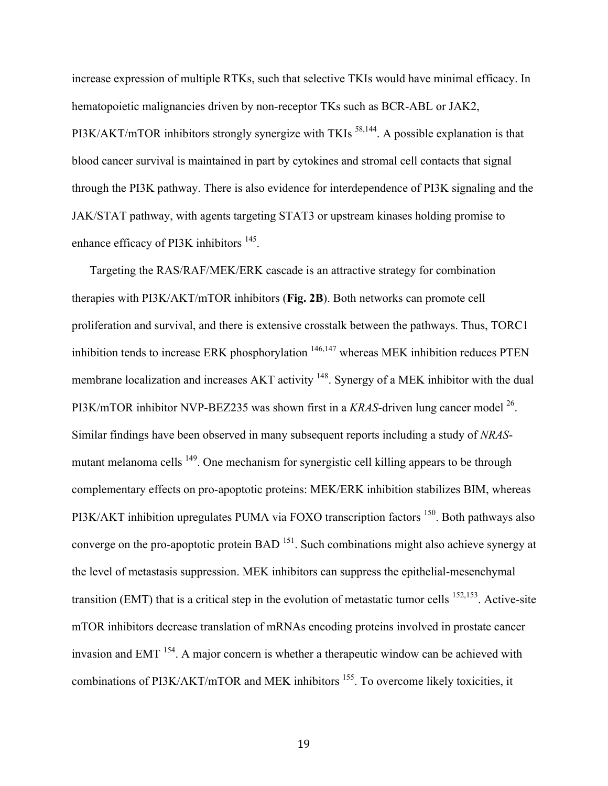increase expression of multiple RTKs, such that selective TKIs would have minimal efficacy. In hematopoietic malignancies driven by non-receptor TKs such as BCR-ABL or JAK2, PI3K/AKT/mTOR inhibitors strongly synergize with TKIs<sup>58,144</sup>. A possible explanation is that blood cancer survival is maintained in part by cytokines and stromal cell contacts that signal through the PI3K pathway. There is also evidence for interdependence of PI3K signaling and the JAK/STAT pathway, with agents targeting STAT3 or upstream kinases holding promise to enhance efficacy of PI3K inhibitors<sup>145</sup>.

Targeting the RAS/RAF/MEK/ERK cascade is an attractive strategy for combination therapies with PI3K/AKT/mTOR inhibitors (**Fig. 2B**). Both networks can promote cell proliferation and survival, and there is extensive crosstalk between the pathways. Thus, TORC1 inhibition tends to increase ERK phosphorylation 146,147 whereas MEK inhibition reduces PTEN membrane localization and increases AKT activity <sup>148</sup>. Synergy of a MEK inhibitor with the dual PI3K/mTOR inhibitor NVP-BEZ235 was shown first in a *KRAS*-driven lung cancer model 26. Similar findings have been observed in many subsequent reports including a study of *NRAS*mutant melanoma cells <sup>149</sup>. One mechanism for synergistic cell killing appears to be through complementary effects on pro-apoptotic proteins: MEK/ERK inhibition stabilizes BIM, whereas PI3K/AKT inhibition upregulates PUMA via FOXO transcription factors <sup>150</sup>. Both pathways also converge on the pro-apoptotic protein BAD <sup>151</sup>. Such combinations might also achieve synergy at the level of metastasis suppression. MEK inhibitors can suppress the epithelial-mesenchymal transition (EMT) that is a critical step in the evolution of metastatic tumor cells  $152,153$ . Active-site mTOR inhibitors decrease translation of mRNAs encoding proteins involved in prostate cancer invasion and EMT 154. A major concern is whether a therapeutic window can be achieved with combinations of PI3K/AKT/mTOR and MEK inhibitors <sup>155</sup>. To overcome likely toxicities, it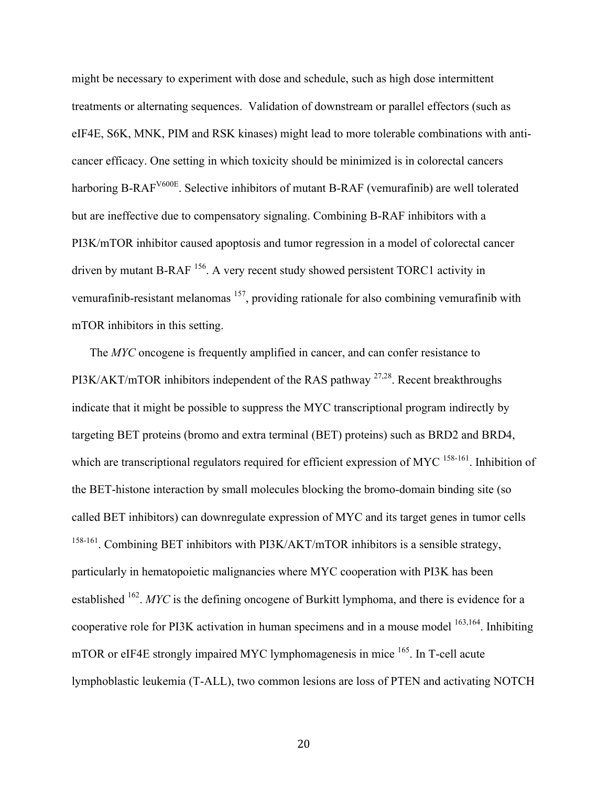might be necessary to experiment with dose and schedule, such as high dose intermittent treatments or alternating sequences. Validation of downstream or parallel effectors (such as eIF4E, S6K, MNK, PIM and RSK kinases) might lead to more tolerable combinations with anticancer efficacy. One setting in which toxicity should be minimized is in colorectal cancers harboring B-RAF<sup>V600E</sup>. Selective inhibitors of mutant B-RAF (vemurafinib) are well tolerated but are ineffective due to compensatory signaling. Combining B-RAF inhibitors with a PI3K/mTOR inhibitor caused apoptosis and tumor regression in a model of colorectal cancer driven by mutant B-RAF 156. A very recent study showed persistent TORC1 activity in vemurafinib-resistant melanomas <sup>157</sup>, providing rationale for also combining vemurafinib with mTOR inhibitors in this setting.

The *MYC* oncogene is frequently amplified in cancer, and can confer resistance to PI3K/AKT/mTOR inhibitors independent of the RAS pathway  $27.28$ . Recent breakthroughs indicate that it might be possible to suppress the MYC transcriptional program indirectly by targeting BET proteins (bromo and extra terminal (BET) proteins) such as BRD2 and BRD4, which are transcriptional regulators required for efficient expression of MYC <sup>158-161</sup>. Inhibition of the BET-histone interaction by small molecules blocking the bromo-domain binding site (so called BET inhibitors) can downregulate expression of MYC and its target genes in tumor cells <sup>158-161</sup>. Combining BET inhibitors with PI3K/AKT/mTOR inhibitors is a sensible strategy, particularly in hematopoietic malignancies where MYC cooperation with PI3K has been established <sup>162</sup>. *MYC* is the defining oncogene of Burkitt lymphoma, and there is evidence for a cooperative role for PI3K activation in human specimens and in a mouse model  $163,164$ . Inhibiting mTOR or eIF4E strongly impaired MYC lymphomagenesis in mice <sup>165</sup>. In T-cell acute lymphoblastic leukemia (T-ALL), two common lesions are loss of PTEN and activating NOTCH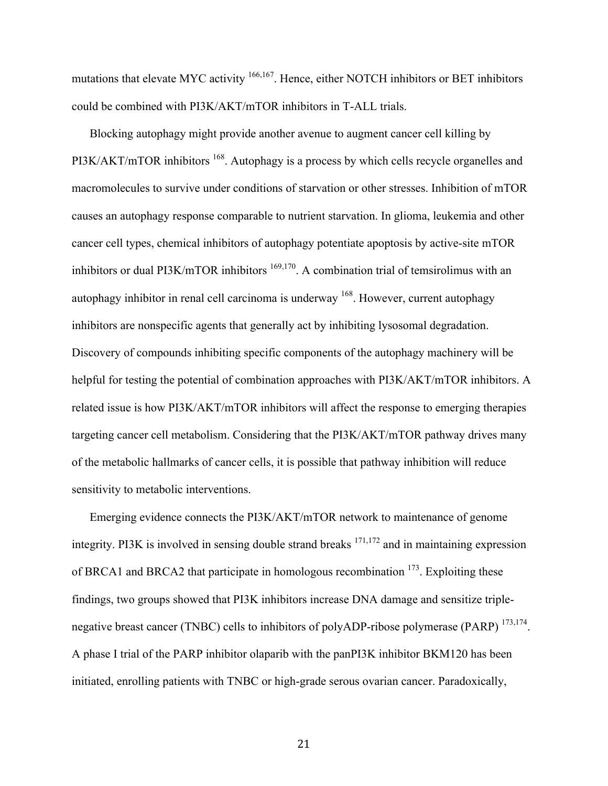mutations that elevate MYC activity <sup>166,167</sup>. Hence, either NOTCH inhibitors or BET inhibitors could be combined with PI3K/AKT/mTOR inhibitors in T-ALL trials.

Blocking autophagy might provide another avenue to augment cancer cell killing by PI3K/AKT/mTOR inhibitors <sup>168</sup>. Autophagy is a process by which cells recycle organelles and macromolecules to survive under conditions of starvation or other stresses. Inhibition of mTOR causes an autophagy response comparable to nutrient starvation. In glioma, leukemia and other cancer cell types, chemical inhibitors of autophagy potentiate apoptosis by active-site mTOR inhibitors or dual PI3K/mTOR inhibitors <sup>169,170</sup>. A combination trial of temsirolimus with an autophagy inhibitor in renal cell carcinoma is underway 168. However, current autophagy inhibitors are nonspecific agents that generally act by inhibiting lysosomal degradation. Discovery of compounds inhibiting specific components of the autophagy machinery will be helpful for testing the potential of combination approaches with PI3K/AKT/mTOR inhibitors. A related issue is how PI3K/AKT/mTOR inhibitors will affect the response to emerging therapies targeting cancer cell metabolism. Considering that the PI3K/AKT/mTOR pathway drives many of the metabolic hallmarks of cancer cells, it is possible that pathway inhibition will reduce sensitivity to metabolic interventions.

Emerging evidence connects the PI3K/AKT/mTOR network to maintenance of genome integrity. PI3K is involved in sensing double strand breaks  $171,172$  and in maintaining expression of BRCA1 and BRCA2 that participate in homologous recombination <sup>173</sup>. Exploiting these findings, two groups showed that PI3K inhibitors increase DNA damage and sensitize triplenegative breast cancer (TNBC) cells to inhibitors of polyADP-ribose polymerase (PARP) <sup>173,174</sup>. A phase I trial of the PARP inhibitor olaparib with the panPI3K inhibitor BKM120 has been initiated, enrolling patients with TNBC or high-grade serous ovarian cancer. Paradoxically,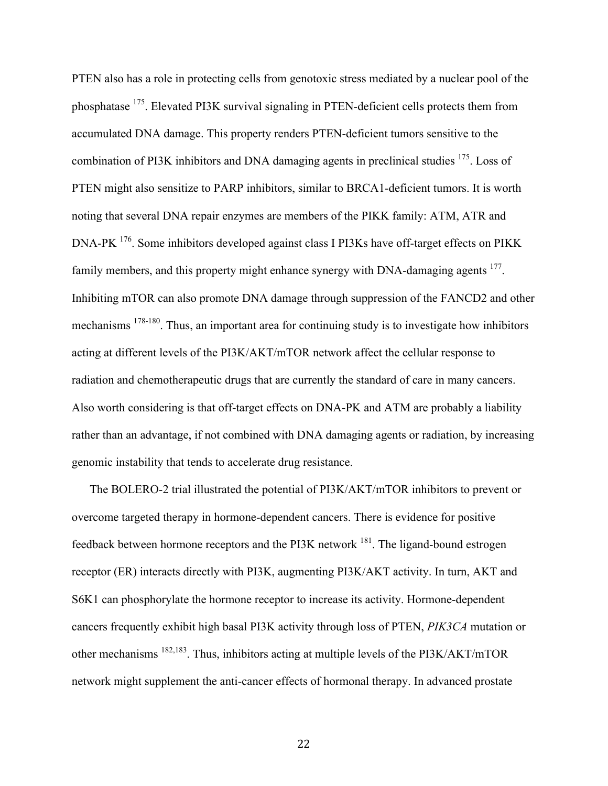PTEN also has a role in protecting cells from genotoxic stress mediated by a nuclear pool of the phosphatase 175. Elevated PI3K survival signaling in PTEN-deficient cells protects them from accumulated DNA damage. This property renders PTEN-deficient tumors sensitive to the combination of PI3K inhibitors and DNA damaging agents in preclinical studies <sup>175</sup>. Loss of PTEN might also sensitize to PARP inhibitors, similar to BRCA1-deficient tumors. It is worth noting that several DNA repair enzymes are members of the PIKK family: ATM, ATR and DNA-PK <sup>176</sup>. Some inhibitors developed against class I PI3Ks have off-target effects on PIKK family members, and this property might enhance synergy with DNA-damaging agents <sup>177</sup>. Inhibiting mTOR can also promote DNA damage through suppression of the FANCD2 and other mechanisms 178-180. Thus, an important area for continuing study is to investigate how inhibitors acting at different levels of the PI3K/AKT/mTOR network affect the cellular response to radiation and chemotherapeutic drugs that are currently the standard of care in many cancers. Also worth considering is that off-target effects on DNA-PK and ATM are probably a liability rather than an advantage, if not combined with DNA damaging agents or radiation, by increasing genomic instability that tends to accelerate drug resistance.

The BOLERO-2 trial illustrated the potential of PI3K/AKT/mTOR inhibitors to prevent or overcome targeted therapy in hormone-dependent cancers. There is evidence for positive feedback between hormone receptors and the PI3K network 181. The ligand-bound estrogen receptor (ER) interacts directly with PI3K, augmenting PI3K/AKT activity. In turn, AKT and S6K1 can phosphorylate the hormone receptor to increase its activity. Hormone-dependent cancers frequently exhibit high basal PI3K activity through loss of PTEN, *PIK3CA* mutation or other mechanisms  $^{182,183}$ . Thus, inhibitors acting at multiple levels of the PI3K/AKT/mTOR network might supplement the anti-cancer effects of hormonal therapy. In advanced prostate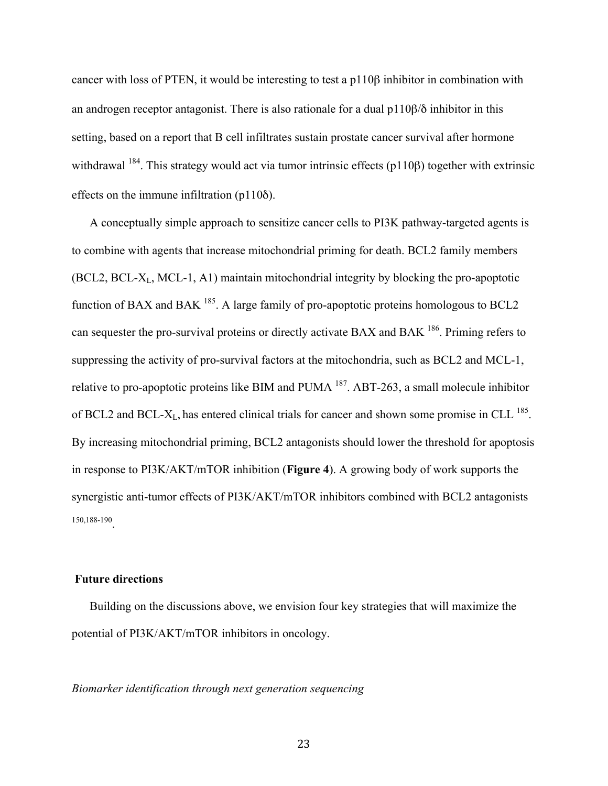cancer with loss of PTEN, it would be interesting to test a p110β inhibitor in combination with an androgen receptor antagonist. There is also rationale for a dual p110β/δ inhibitor in this setting, based on a report that B cell infiltrates sustain prostate cancer survival after hormone withdrawal  $184$ . This strategy would act via tumor intrinsic effects (p110 $\beta$ ) together with extrinsic effects on the immune infiltration (p110δ).

A conceptually simple approach to sensitize cancer cells to PI3K pathway-targeted agents is to combine with agents that increase mitochondrial priming for death. BCL2 family members (BCL2, BCL-XL, MCL-1, A1) maintain mitochondrial integrity by blocking the pro-apoptotic function of BAX and BAK <sup>185</sup>. A large family of pro-apoptotic proteins homologous to BCL2 can sequester the pro-survival proteins or directly activate BAX and BAK <sup>186</sup>. Priming refers to suppressing the activity of pro-survival factors at the mitochondria, such as BCL2 and MCL-1, relative to pro-apoptotic proteins like BIM and PUMA 187. ABT-263, a small molecule inhibitor of BCL2 and BCL- $X_L$ , has entered clinical trials for cancer and shown some promise in CLL  $^{185}$ . By increasing mitochondrial priming, BCL2 antagonists should lower the threshold for apoptosis in response to PI3K/AKT/mTOR inhibition (**Figure 4**). A growing body of work supports the synergistic anti-tumor effects of PI3K/AKT/mTOR inhibitors combined with BCL2 antagonists 150,188-190.

#### **Future directions**

Building on the discussions above, we envision four key strategies that will maximize the potential of PI3K/AKT/mTOR inhibitors in oncology.

#### *Biomarker identification through next generation sequencing*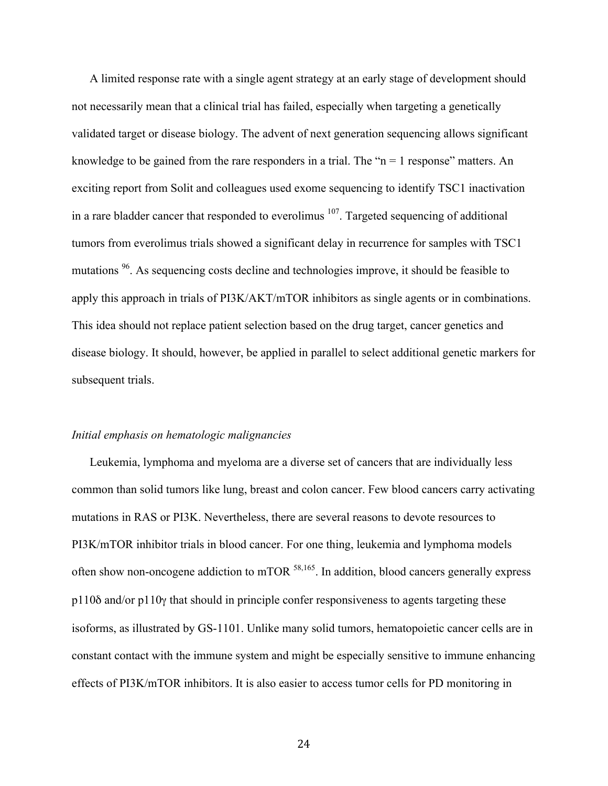A limited response rate with a single agent strategy at an early stage of development should not necessarily mean that a clinical trial has failed, especially when targeting a genetically validated target or disease biology. The advent of next generation sequencing allows significant knowledge to be gained from the rare responders in a trial. The " $n = 1$  response" matters. An exciting report from Solit and colleagues used exome sequencing to identify TSC1 inactivation in a rare bladder cancer that responded to everolimus  $107$ . Targeted sequencing of additional tumors from everolimus trials showed a significant delay in recurrence for samples with TSC1 mutations <sup>96</sup>. As sequencing costs decline and technologies improve, it should be feasible to apply this approach in trials of PI3K/AKT/mTOR inhibitors as single agents or in combinations. This idea should not replace patient selection based on the drug target, cancer genetics and disease biology. It should, however, be applied in parallel to select additional genetic markers for subsequent trials.

#### *Initial emphasis on hematologic malignancies*

Leukemia, lymphoma and myeloma are a diverse set of cancers that are individually less common than solid tumors like lung, breast and colon cancer. Few blood cancers carry activating mutations in RAS or PI3K. Nevertheless, there are several reasons to devote resources to PI3K/mTOR inhibitor trials in blood cancer. For one thing, leukemia and lymphoma models often show non-oncogene addiction to mTOR <sup>58,165</sup>. In addition, blood cancers generally express p110δ and/or p110γ that should in principle confer responsiveness to agents targeting these isoforms, as illustrated by GS-1101. Unlike many solid tumors, hematopoietic cancer cells are in constant contact with the immune system and might be especially sensitive to immune enhancing effects of PI3K/mTOR inhibitors. It is also easier to access tumor cells for PD monitoring in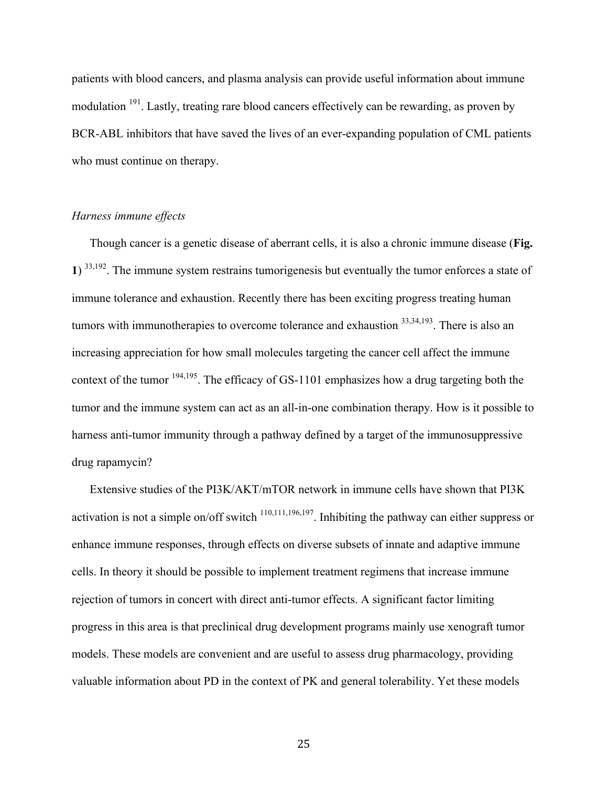patients with blood cancers, and plasma analysis can provide useful information about immune modulation <sup>191</sup>. Lastly, treating rare blood cancers effectively can be rewarding, as proven by BCR-ABL inhibitors that have saved the lives of an ever-expanding population of CML patients who must continue on therapy.

#### *Harness immune effects*

Though cancer is a genetic disease of aberrant cells, it is also a chronic immune disease (**Fig. 1**) 33,192. The immune system restrains tumorigenesis but eventually the tumor enforces a state of immune tolerance and exhaustion. Recently there has been exciting progress treating human tumors with immunotherapies to overcome tolerance and exhaustion  $33,34,193$ . There is also an increasing appreciation for how small molecules targeting the cancer cell affect the immune context of the tumor  $194,195$ . The efficacy of GS-1101 emphasizes how a drug targeting both the tumor and the immune system can act as an all-in-one combination therapy. How is it possible to harness anti-tumor immunity through a pathway defined by a target of the immunosuppressive drug rapamycin?

Extensive studies of the PI3K/AKT/mTOR network in immune cells have shown that PI3K activation is not a simple on/off switch  $110,111,196,197$ . Inhibiting the pathway can either suppress or enhance immune responses, through effects on diverse subsets of innate and adaptive immune cells. In theory it should be possible to implement treatment regimens that increase immune rejection of tumors in concert with direct anti-tumor effects. A significant factor limiting progress in this area is that preclinical drug development programs mainly use xenograft tumor models. These models are convenient and are useful to assess drug pharmacology, providing valuable information about PD in the context of PK and general tolerability. Yet these models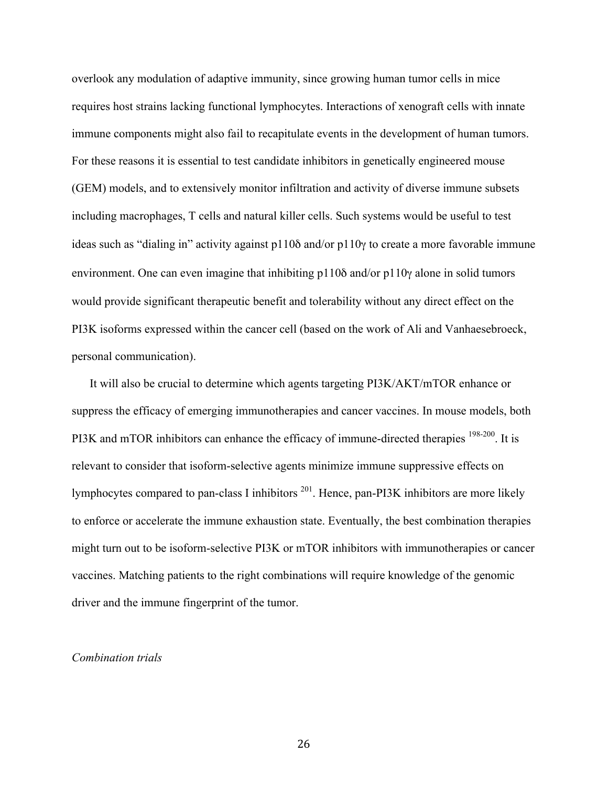overlook any modulation of adaptive immunity, since growing human tumor cells in mice requires host strains lacking functional lymphocytes. Interactions of xenograft cells with innate immune components might also fail to recapitulate events in the development of human tumors. For these reasons it is essential to test candidate inhibitors in genetically engineered mouse (GEM) models, and to extensively monitor infiltration and activity of diverse immune subsets including macrophages, T cells and natural killer cells. Such systems would be useful to test ideas such as "dialing in" activity against p110δ and/or p110γ to create a more favorable immune environment. One can even imagine that inhibiting p110δ and/or p110γ alone in solid tumors would provide significant therapeutic benefit and tolerability without any direct effect on the PI3K isoforms expressed within the cancer cell (based on the work of Ali and Vanhaesebroeck, personal communication).

It will also be crucial to determine which agents targeting PI3K/AKT/mTOR enhance or suppress the efficacy of emerging immunotherapies and cancer vaccines. In mouse models, both PI3K and mTOR inhibitors can enhance the efficacy of immune-directed therapies <sup>198-200</sup>. It is relevant to consider that isoform-selective agents minimize immune suppressive effects on lymphocytes compared to pan-class I inhibitors 201. Hence, pan-PI3K inhibitors are more likely to enforce or accelerate the immune exhaustion state. Eventually, the best combination therapies might turn out to be isoform-selective PI3K or mTOR inhibitors with immunotherapies or cancer vaccines. Matching patients to the right combinations will require knowledge of the genomic driver and the immune fingerprint of the tumor.

#### *Combination trials*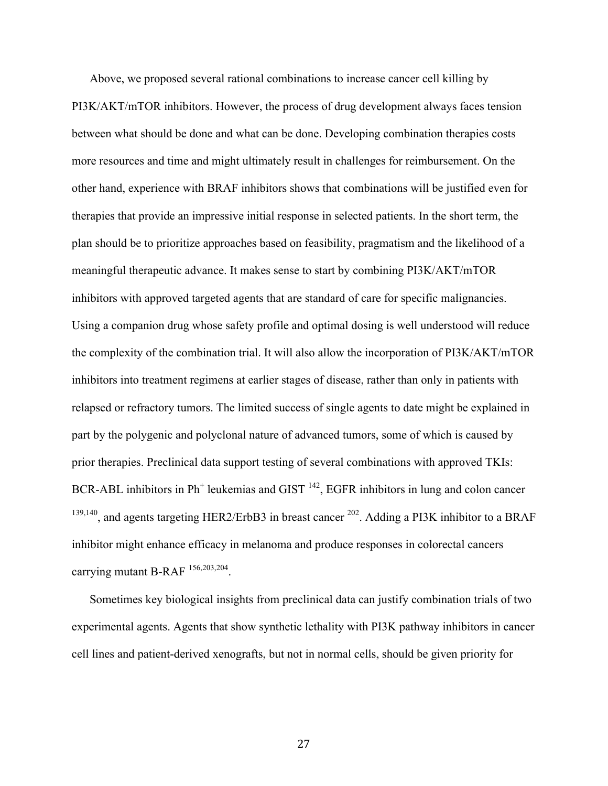Above, we proposed several rational combinations to increase cancer cell killing by PI3K/AKT/mTOR inhibitors. However, the process of drug development always faces tension between what should be done and what can be done. Developing combination therapies costs more resources and time and might ultimately result in challenges for reimbursement. On the other hand, experience with BRAF inhibitors shows that combinations will be justified even for therapies that provide an impressive initial response in selected patients. In the short term, the plan should be to prioritize approaches based on feasibility, pragmatism and the likelihood of a meaningful therapeutic advance. It makes sense to start by combining PI3K/AKT/mTOR inhibitors with approved targeted agents that are standard of care for specific malignancies. Using a companion drug whose safety profile and optimal dosing is well understood will reduce the complexity of the combination trial. It will also allow the incorporation of PI3K/AKT/mTOR inhibitors into treatment regimens at earlier stages of disease, rather than only in patients with relapsed or refractory tumors. The limited success of single agents to date might be explained in part by the polygenic and polyclonal nature of advanced tumors, some of which is caused by prior therapies. Preclinical data support testing of several combinations with approved TKIs: BCR-ABL inhibitors in  $Ph<sup>+</sup>$  leukemias and GIST  $<sup>142</sup>$ , EGFR inhibitors in lung and colon cancer</sup> <sup>139,140</sup>, and agents targeting HER2/ErbB3 in breast cancer <sup>202</sup>. Adding a PI3K inhibitor to a BRAF inhibitor might enhance efficacy in melanoma and produce responses in colorectal cancers carrying mutant B-RAF 156,203,204.

Sometimes key biological insights from preclinical data can justify combination trials of two experimental agents. Agents that show synthetic lethality with PI3K pathway inhibitors in cancer cell lines and patient-derived xenografts, but not in normal cells, should be given priority for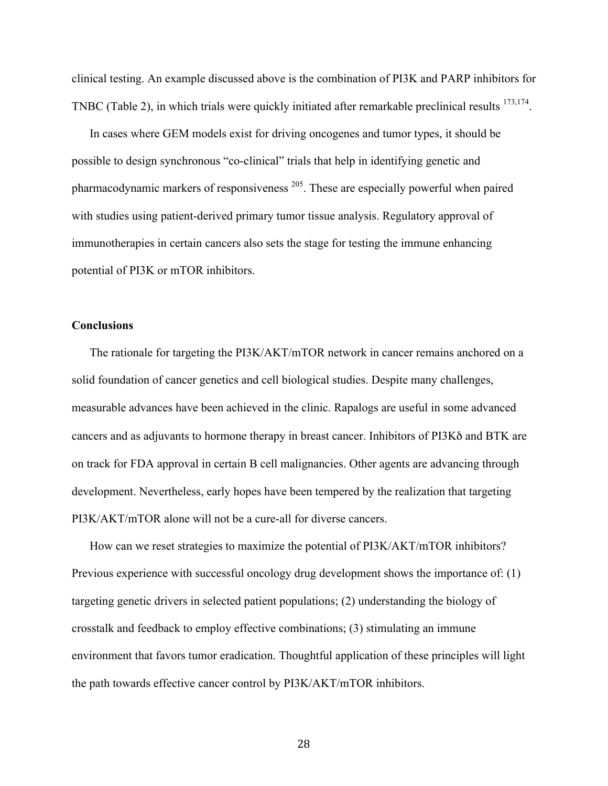clinical testing. An example discussed above is the combination of PI3K and PARP inhibitors for TNBC (Table 2), in which trials were quickly initiated after remarkable preclinical results <sup>173,174</sup>.

In cases where GEM models exist for driving oncogenes and tumor types, it should be possible to design synchronous "co-clinical" trials that help in identifying genetic and pharmacodynamic markers of responsiveness 205. These are especially powerful when paired with studies using patient-derived primary tumor tissue analysis. Regulatory approval of immunotherapies in certain cancers also sets the stage for testing the immune enhancing potential of PI3K or mTOR inhibitors.

#### **Conclusions**

The rationale for targeting the PI3K/AKT/mTOR network in cancer remains anchored on a solid foundation of cancer genetics and cell biological studies. Despite many challenges, measurable advances have been achieved in the clinic. Rapalogs are useful in some advanced cancers and as adjuvants to hormone therapy in breast cancer. Inhibitors of PI3Kδ and BTK are on track for FDA approval in certain B cell malignancies. Other agents are advancing through development. Nevertheless, early hopes have been tempered by the realization that targeting PI3K/AKT/mTOR alone will not be a cure-all for diverse cancers.

How can we reset strategies to maximize the potential of PI3K/AKT/mTOR inhibitors? Previous experience with successful oncology drug development shows the importance of: (1) targeting genetic drivers in selected patient populations; (2) understanding the biology of crosstalk and feedback to employ effective combinations; (3) stimulating an immune environment that favors tumor eradication. Thoughtful application of these principles will light the path towards effective cancer control by PI3K/AKT/mTOR inhibitors.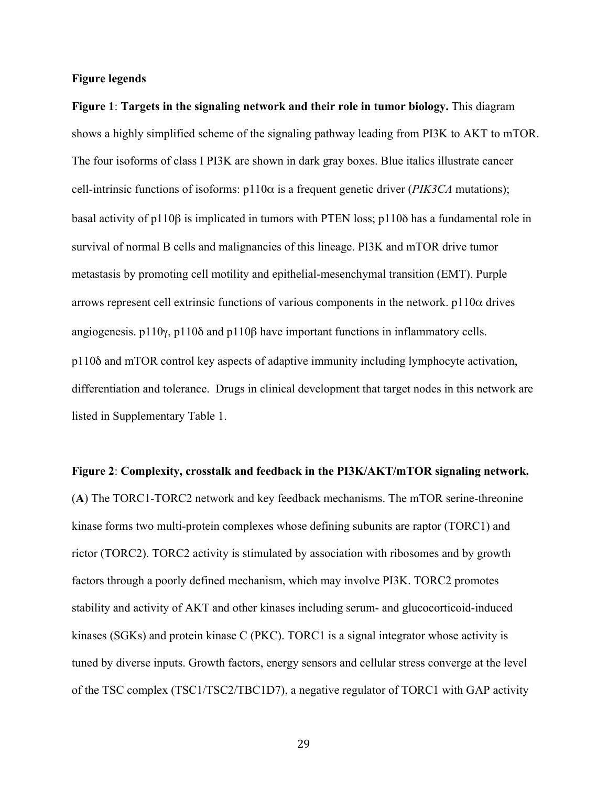#### **Figure legends**

**Figure 1**: **Targets in the signaling network and their role in tumor biology.** This diagram shows a highly simplified scheme of the signaling pathway leading from PI3K to AKT to mTOR. The four isoforms of class I PI3K are shown in dark gray boxes. Blue italics illustrate cancer cell-intrinsic functions of isoforms: p110α is a frequent genetic driver (*PIK3CA* mutations); basal activity of p110β is implicated in tumors with PTEN loss; p110δ has a fundamental role in survival of normal B cells and malignancies of this lineage. PI3K and mTOR drive tumor metastasis by promoting cell motility and epithelial-mesenchymal transition (EMT). Purple arrows represent cell extrinsic functions of various components in the network.  $p110\alpha$  drives angiogenesis. p110γ, p110δ and p110β have important functions in inflammatory cells. p110δ and mTOR control key aspects of adaptive immunity including lymphocyte activation, differentiation and tolerance. Drugs in clinical development that target nodes in this network are listed in Supplementary Table 1.

**Figure 2**: **Complexity, crosstalk and feedback in the PI3K/AKT/mTOR signaling network.** (**A**) The TORC1-TORC2 network and key feedback mechanisms. The mTOR serine-threonine kinase forms two multi-protein complexes whose defining subunits are raptor (TORC1) and rictor (TORC2). TORC2 activity is stimulated by association with ribosomes and by growth factors through a poorly defined mechanism, which may involve PI3K. TORC2 promotes stability and activity of AKT and other kinases including serum- and glucocorticoid-induced kinases (SGKs) and protein kinase C (PKC). TORC1 is a signal integrator whose activity is tuned by diverse inputs. Growth factors, energy sensors and cellular stress converge at the level of the TSC complex (TSC1/TSC2/TBC1D7), a negative regulator of TORC1 with GAP activity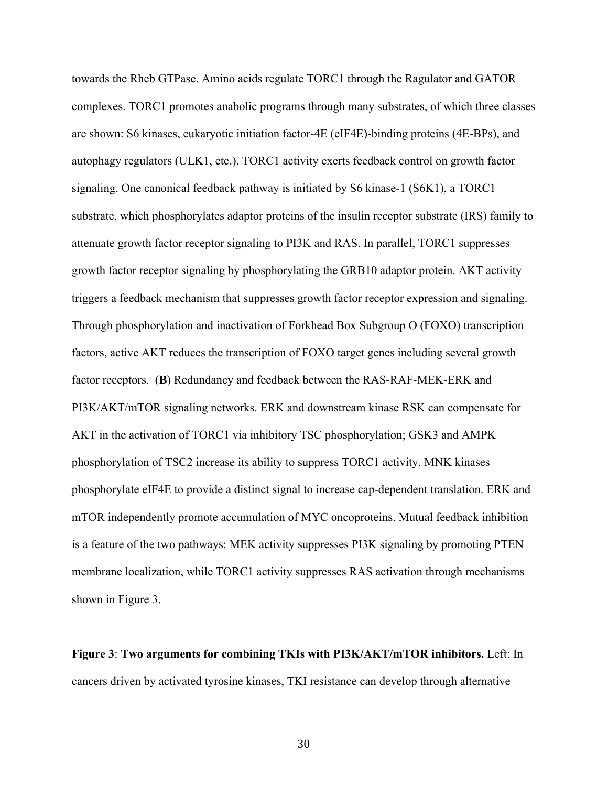towards the Rheb GTPase. Amino acids regulate TORC1 through the Ragulator and GATOR complexes. TORC1 promotes anabolic programs through many substrates, of which three classes are shown: S6 kinases, eukaryotic initiation factor-4E (eIF4E)-binding proteins (4E-BPs), and autophagy regulators (ULK1, etc.). TORC1 activity exerts feedback control on growth factor signaling. One canonical feedback pathway is initiated by S6 kinase-1 (S6K1), a TORC1 substrate, which phosphorylates adaptor proteins of the insulin receptor substrate (IRS) family to attenuate growth factor receptor signaling to PI3K and RAS. In parallel, TORC1 suppresses growth factor receptor signaling by phosphorylating the GRB10 adaptor protein. AKT activity triggers a feedback mechanism that suppresses growth factor receptor expression and signaling. Through phosphorylation and inactivation of Forkhead Box Subgroup O (FOXO) transcription factors, active AKT reduces the transcription of FOXO target genes including several growth factor receptors. (**B**) Redundancy and feedback between the RAS-RAF-MEK-ERK and PI3K/AKT/mTOR signaling networks. ERK and downstream kinase RSK can compensate for AKT in the activation of TORC1 via inhibitory TSC phosphorylation; GSK3 and AMPK phosphorylation of TSC2 increase its ability to suppress TORC1 activity. MNK kinases phosphorylate eIF4E to provide a distinct signal to increase cap-dependent translation. ERK and mTOR independently promote accumulation of MYC oncoproteins. Mutual feedback inhibition is a feature of the two pathways: MEK activity suppresses PI3K signaling by promoting PTEN membrane localization, while TORC1 activity suppresses RAS activation through mechanisms shown in Figure 3.

**Figure 3**: **Two arguments for combining TKIs with PI3K/AKT/mTOR inhibitors.** Left: In cancers driven by activated tyrosine kinases, TKI resistance can develop through alternative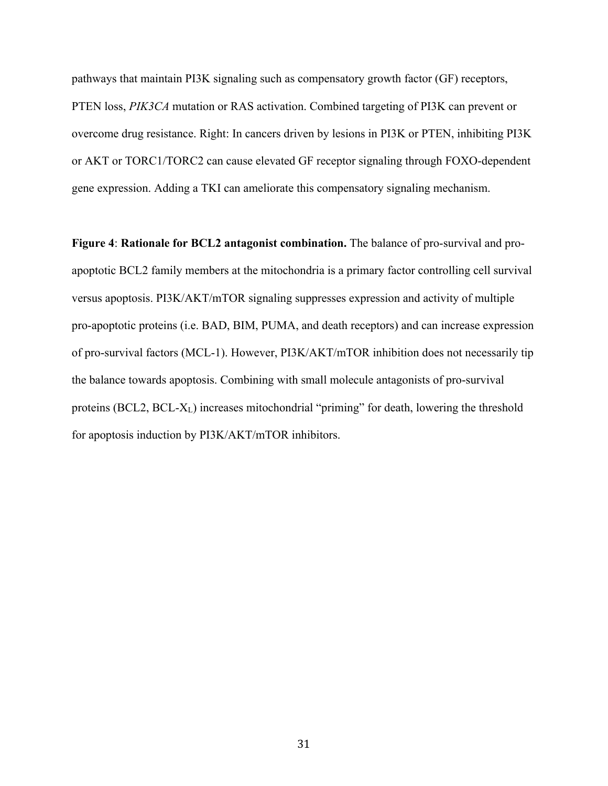pathways that maintain PI3K signaling such as compensatory growth factor (GF) receptors, PTEN loss, *PIK3CA* mutation or RAS activation. Combined targeting of PI3K can prevent or overcome drug resistance. Right: In cancers driven by lesions in PI3K or PTEN, inhibiting PI3K or AKT or TORC1/TORC2 can cause elevated GF receptor signaling through FOXO-dependent gene expression. Adding a TKI can ameliorate this compensatory signaling mechanism.

**Figure 4**: **Rationale for BCL2 antagonist combination.** The balance of pro-survival and proapoptotic BCL2 family members at the mitochondria is a primary factor controlling cell survival versus apoptosis. PI3K/AKT/mTOR signaling suppresses expression and activity of multiple pro-apoptotic proteins (i.e. BAD, BIM, PUMA, and death receptors) and can increase expression of pro-survival factors (MCL-1). However, PI3K/AKT/mTOR inhibition does not necessarily tip the balance towards apoptosis. Combining with small molecule antagonists of pro-survival proteins (BCL2, BCL-XL) increases mitochondrial "priming" for death, lowering the threshold for apoptosis induction by PI3K/AKT/mTOR inhibitors.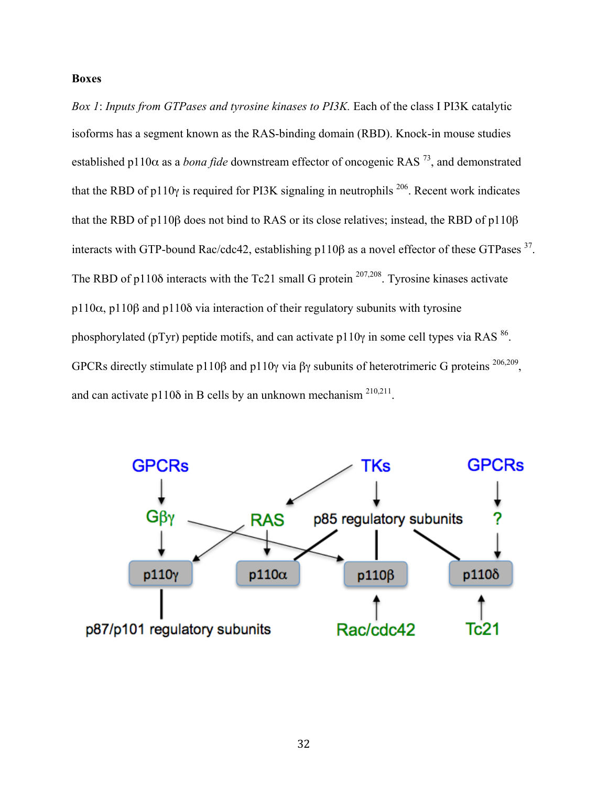#### **Boxes**

*Box 1*: *Inputs from GTPases and tyrosine kinases to PI3K.* Each of the class I PI3K catalytic isoforms has a segment known as the RAS-binding domain (RBD). Knock-in mouse studies established p110 $\alpha$  as a *bona fide* downstream effector of oncogenic RAS<sup>73</sup>, and demonstrated that the RBD of p110 $\gamma$  is required for PI3K signaling in neutrophils <sup>206</sup>. Recent work indicates that the RBD of p110β does not bind to RAS or its close relatives; instead, the RBD of p110β interacts with GTP-bound Rac/cdc42, establishing p110β as a novel effector of these GTPases <sup>37</sup>. The RBD of p110 $\delta$  interacts with the Tc21 small G protein <sup>207,208</sup>. Tyrosine kinases activate p110 $α$ , p110 $β$  and p110 $δ$  via interaction of their regulatory subunits with tyrosine phosphorylated (pTyr) peptide motifs, and can activate p110 $\gamma$  in some cell types via RAS <sup>86</sup>. GPCRs directly stimulate p110β and p110γ via βγ subunits of heterotrimeric G proteins <sup>206,209</sup>, and can activate p110 $\delta$  in B cells by an unknown mechanism  $^{210,211}$ .

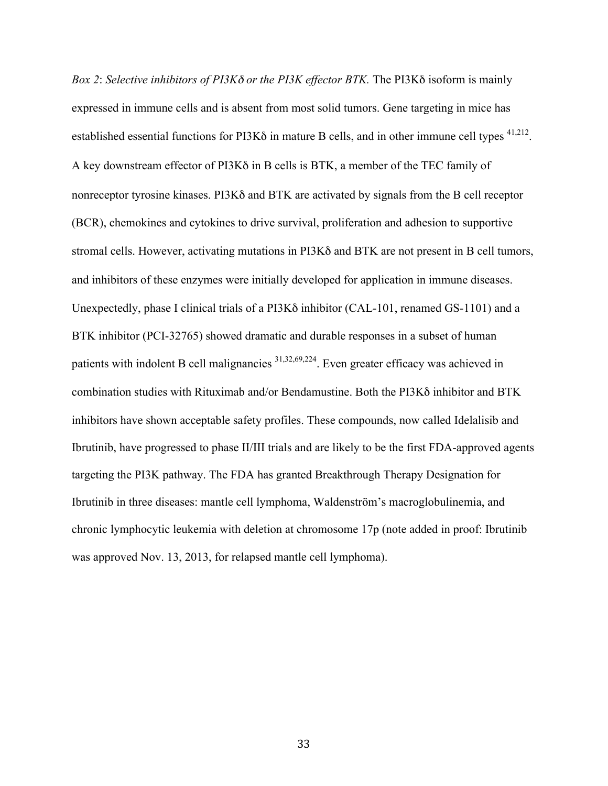*Box 2*: *Selective inhibitors of PI3K*<sup>δ</sup> *or the PI3K effector BTK.* The PI3Kδ isoform is mainly expressed in immune cells and is absent from most solid tumors. Gene targeting in mice has established essential functions for PI3Kδ in mature B cells, and in other immune cell types <sup>41,212</sup>. A key downstream effector of PI3Kδ in B cells is BTK, a member of the TEC family of nonreceptor tyrosine kinases. PI3Kδ and BTK are activated by signals from the B cell receptor (BCR), chemokines and cytokines to drive survival, proliferation and adhesion to supportive stromal cells. However, activating mutations in PI3Kδ and BTK are not present in B cell tumors, and inhibitors of these enzymes were initially developed for application in immune diseases. Unexpectedly, phase I clinical trials of a PI3Kδ inhibitor (CAL-101, renamed GS-1101) and a BTK inhibitor (PCI-32765) showed dramatic and durable responses in a subset of human patients with indolent B cell malignancies <sup>31,32,69,224</sup>. Even greater efficacy was achieved in combination studies with Rituximab and/or Bendamustine. Both the PI3Kδ inhibitor and BTK inhibitors have shown acceptable safety profiles. These compounds, now called Idelalisib and Ibrutinib, have progressed to phase II/III trials and are likely to be the first FDA-approved agents targeting the PI3K pathway. The FDA has granted Breakthrough Therapy Designation for Ibrutinib in three diseases: mantle cell lymphoma, Waldenström's macroglobulinemia, and chronic lymphocytic leukemia with deletion at chromosome 17p (note added in proof: Ibrutinib was approved Nov. 13, 2013, for relapsed mantle cell lymphoma).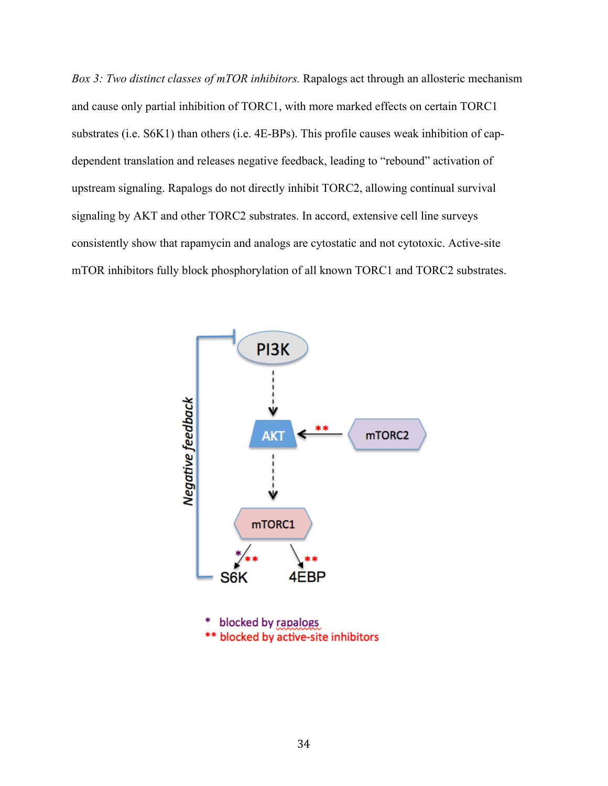*Box 3: Two distinct classes of mTOR inhibitors.* Rapalogs act through an allosteric mechanism and cause only partial inhibition of TORC1, with more marked effects on certain TORC1 substrates (i.e. S6K1) than others (i.e. 4E-BPs). This profile causes weak inhibition of capdependent translation and releases negative feedback, leading to "rebound" activation of upstream signaling. Rapalogs do not directly inhibit TORC2, allowing continual survival signaling by AKT and other TORC2 substrates. In accord, extensive cell line surveys consistently show that rapamycin and analogs are cytostatic and not cytotoxic. Active-site mTOR inhibitors fully block phosphorylation of all known TORC1 and TORC2 substrates.

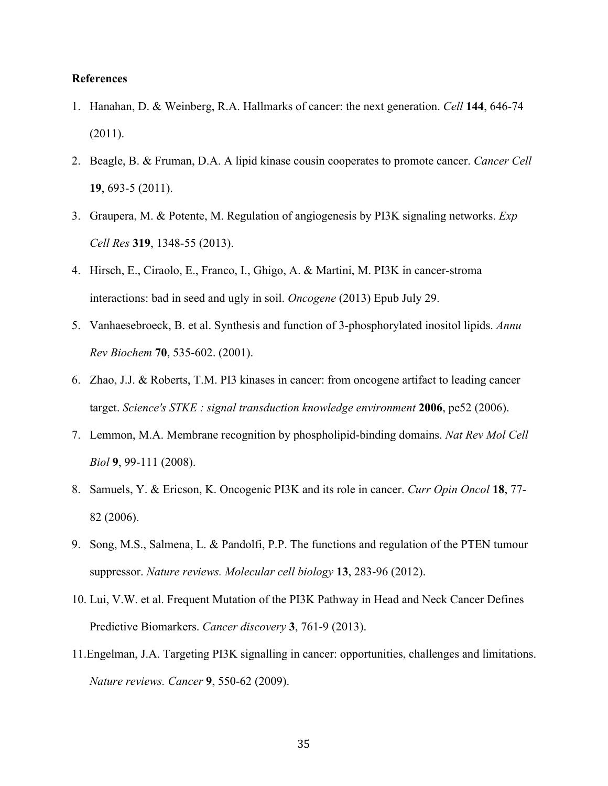#### **References**

- 1. Hanahan, D. & Weinberg, R.A. Hallmarks of cancer: the next generation. *Cell* **144**, 646-74 (2011).
- 2. Beagle, B. & Fruman, D.A. A lipid kinase cousin cooperates to promote cancer. *Cancer Cell* **19**, 693-5 (2011).
- 3. Graupera, M. & Potente, M. Regulation of angiogenesis by PI3K signaling networks. *Exp Cell Res* **319**, 1348-55 (2013).
- 4. Hirsch, E., Ciraolo, E., Franco, I., Ghigo, A. & Martini, M. PI3K in cancer-stroma interactions: bad in seed and ugly in soil. *Oncogene* (2013) Epub July 29.
- 5. Vanhaesebroeck, B. et al. Synthesis and function of 3-phosphorylated inositol lipids. *Annu Rev Biochem* **70**, 535-602. (2001).
- 6. Zhao, J.J. & Roberts, T.M. PI3 kinases in cancer: from oncogene artifact to leading cancer target. *Science's STKE : signal transduction knowledge environment* **2006**, pe52 (2006).
- 7. Lemmon, M.A. Membrane recognition by phospholipid-binding domains. *Nat Rev Mol Cell Biol* **9**, 99-111 (2008).
- 8. Samuels, Y. & Ericson, K. Oncogenic PI3K and its role in cancer. *Curr Opin Oncol* **18**, 77- 82 (2006).
- 9. Song, M.S., Salmena, L. & Pandolfi, P.P. The functions and regulation of the PTEN tumour suppressor. *Nature reviews. Molecular cell biology* **13**, 283-96 (2012).
- 10. Lui, V.W. et al. Frequent Mutation of the PI3K Pathway in Head and Neck Cancer Defines Predictive Biomarkers. *Cancer discovery* **3**, 761-9 (2013).
- 11.Engelman, J.A. Targeting PI3K signalling in cancer: opportunities, challenges and limitations. *Nature reviews. Cancer* **9**, 550-62 (2009).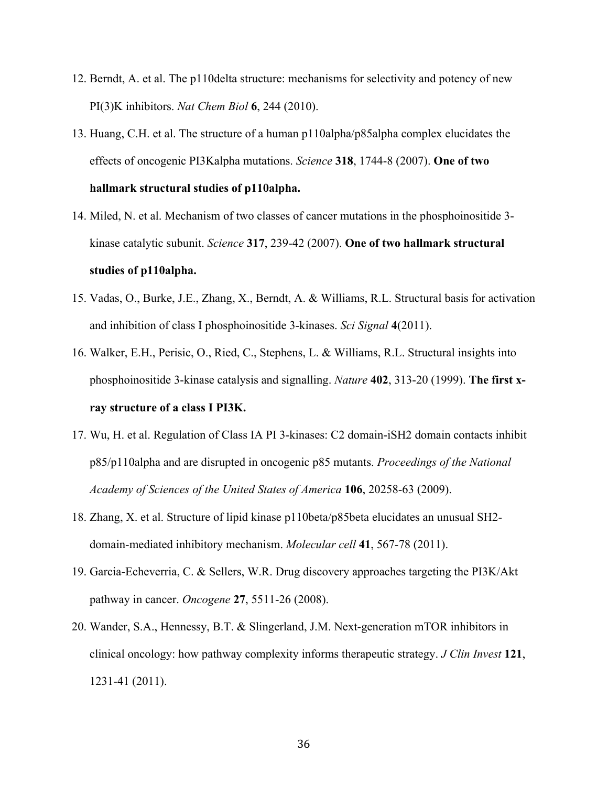- 12. Berndt, A. et al. The p110delta structure: mechanisms for selectivity and potency of new PI(3)K inhibitors. *Nat Chem Biol* **6**, 244 (2010).
- 13. Huang, C.H. et al. The structure of a human p110alpha/p85alpha complex elucidates the effects of oncogenic PI3Kalpha mutations. *Science* **318**, 1744-8 (2007). **One of two hallmark structural studies of p110alpha.**
- 14. Miled, N. et al. Mechanism of two classes of cancer mutations in the phosphoinositide 3 kinase catalytic subunit. *Science* **317**, 239-42 (2007). **One of two hallmark structural studies of p110alpha.**
- 15. Vadas, O., Burke, J.E., Zhang, X., Berndt, A. & Williams, R.L. Structural basis for activation and inhibition of class I phosphoinositide 3-kinases. *Sci Signal* **4**(2011).
- 16. Walker, E.H., Perisic, O., Ried, C., Stephens, L. & Williams, R.L. Structural insights into phosphoinositide 3-kinase catalysis and signalling. *Nature* **402**, 313-20 (1999). **The first xray structure of a class I PI3K.**
- 17. Wu, H. et al. Regulation of Class IA PI 3-kinases: C2 domain-iSH2 domain contacts inhibit p85/p110alpha and are disrupted in oncogenic p85 mutants. *Proceedings of the National Academy of Sciences of the United States of America* **106**, 20258-63 (2009).
- 18. Zhang, X. et al. Structure of lipid kinase p110beta/p85beta elucidates an unusual SH2 domain-mediated inhibitory mechanism. *Molecular cell* **41**, 567-78 (2011).
- 19. Garcia-Echeverria, C. & Sellers, W.R. Drug discovery approaches targeting the PI3K/Akt pathway in cancer. *Oncogene* **27**, 5511-26 (2008).
- 20. Wander, S.A., Hennessy, B.T. & Slingerland, J.M. Next-generation mTOR inhibitors in clinical oncology: how pathway complexity informs therapeutic strategy. *J Clin Invest* **121**, 1231-41 (2011).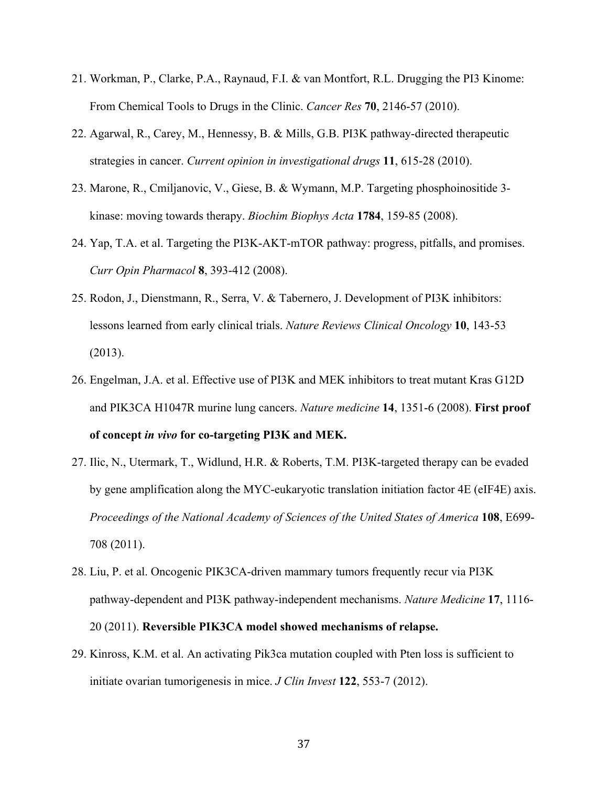- 21. Workman, P., Clarke, P.A., Raynaud, F.I. & van Montfort, R.L. Drugging the PI3 Kinome: From Chemical Tools to Drugs in the Clinic. *Cancer Res* **70**, 2146-57 (2010).
- 22. Agarwal, R., Carey, M., Hennessy, B. & Mills, G.B. PI3K pathway-directed therapeutic strategies in cancer. *Current opinion in investigational drugs* **11**, 615-28 (2010).
- 23. Marone, R., Cmiljanovic, V., Giese, B. & Wymann, M.P. Targeting phosphoinositide 3 kinase: moving towards therapy. *Biochim Biophys Acta* **1784**, 159-85 (2008).
- 24. Yap, T.A. et al. Targeting the PI3K-AKT-mTOR pathway: progress, pitfalls, and promises. *Curr Opin Pharmacol* **8**, 393-412 (2008).
- 25. Rodon, J., Dienstmann, R., Serra, V. & Tabernero, J. Development of PI3K inhibitors: lessons learned from early clinical trials. *Nature Reviews Clinical Oncology* **10**, 143-53 (2013).
- 26. Engelman, J.A. et al. Effective use of PI3K and MEK inhibitors to treat mutant Kras G12D and PIK3CA H1047R murine lung cancers. *Nature medicine* **14**, 1351-6 (2008). **First proof of concept** *in vivo* **for co-targeting PI3K and MEK.**
- 27. Ilic, N., Utermark, T., Widlund, H.R. & Roberts, T.M. PI3K-targeted therapy can be evaded by gene amplification along the MYC-eukaryotic translation initiation factor 4E (eIF4E) axis. *Proceedings of the National Academy of Sciences of the United States of America* **108**, E699- 708 (2011).
- 28. Liu, P. et al. Oncogenic PIK3CA-driven mammary tumors frequently recur via PI3K pathway-dependent and PI3K pathway-independent mechanisms. *Nature Medicine* **17**, 1116- 20 (2011). **Reversible PIK3CA model showed mechanisms of relapse.**
- 29. Kinross, K.M. et al. An activating Pik3ca mutation coupled with Pten loss is sufficient to initiate ovarian tumorigenesis in mice. *J Clin Invest* **122**, 553-7 (2012).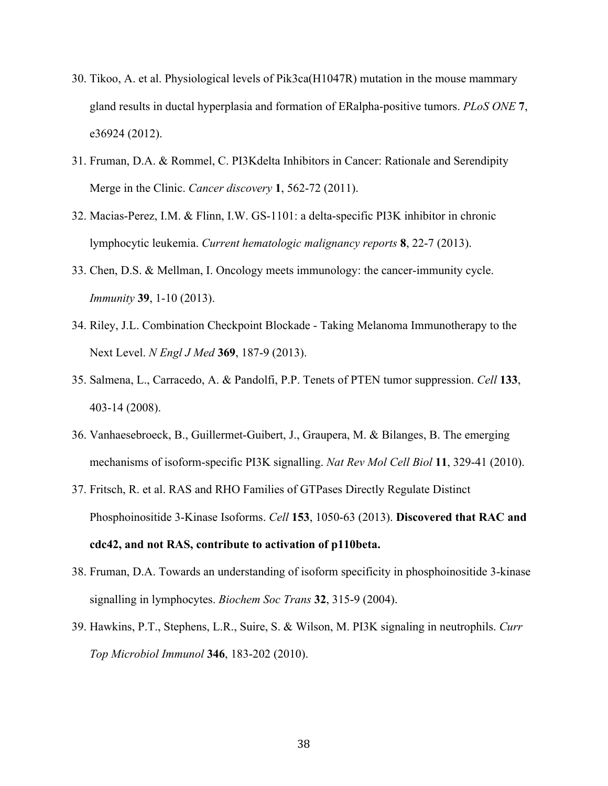- 30. Tikoo, A. et al. Physiological levels of Pik3ca(H1047R) mutation in the mouse mammary gland results in ductal hyperplasia and formation of ERalpha-positive tumors. *PLoS ONE* **7**, e36924 (2012).
- 31. Fruman, D.A. & Rommel, C. PI3Kdelta Inhibitors in Cancer: Rationale and Serendipity Merge in the Clinic. *Cancer discovery* **1**, 562-72 (2011).
- 32. Macias-Perez, I.M. & Flinn, I.W. GS-1101: a delta-specific PI3K inhibitor in chronic lymphocytic leukemia. *Current hematologic malignancy reports* **8**, 22-7 (2013).
- 33. Chen, D.S. & Mellman, I. Oncology meets immunology: the cancer-immunity cycle. *Immunity* **39**, 1-10 (2013).
- 34. Riley, J.L. Combination Checkpoint Blockade Taking Melanoma Immunotherapy to the Next Level. *N Engl J Med* **369**, 187-9 (2013).
- 35. Salmena, L., Carracedo, A. & Pandolfi, P.P. Tenets of PTEN tumor suppression. *Cell* **133**, 403-14 (2008).
- 36. Vanhaesebroeck, B., Guillermet-Guibert, J., Graupera, M. & Bilanges, B. The emerging mechanisms of isoform-specific PI3K signalling. *Nat Rev Mol Cell Biol* **11**, 329-41 (2010).
- 37. Fritsch, R. et al. RAS and RHO Families of GTPases Directly Regulate Distinct Phosphoinositide 3-Kinase Isoforms. *Cell* **153**, 1050-63 (2013). **Discovered that RAC and cdc42, and not RAS, contribute to activation of p110beta.**
- 38. Fruman, D.A. Towards an understanding of isoform specificity in phosphoinositide 3-kinase signalling in lymphocytes. *Biochem Soc Trans* **32**, 315-9 (2004).
- 39. Hawkins, P.T., Stephens, L.R., Suire, S. & Wilson, M. PI3K signaling in neutrophils. *Curr Top Microbiol Immunol* **346**, 183-202 (2010).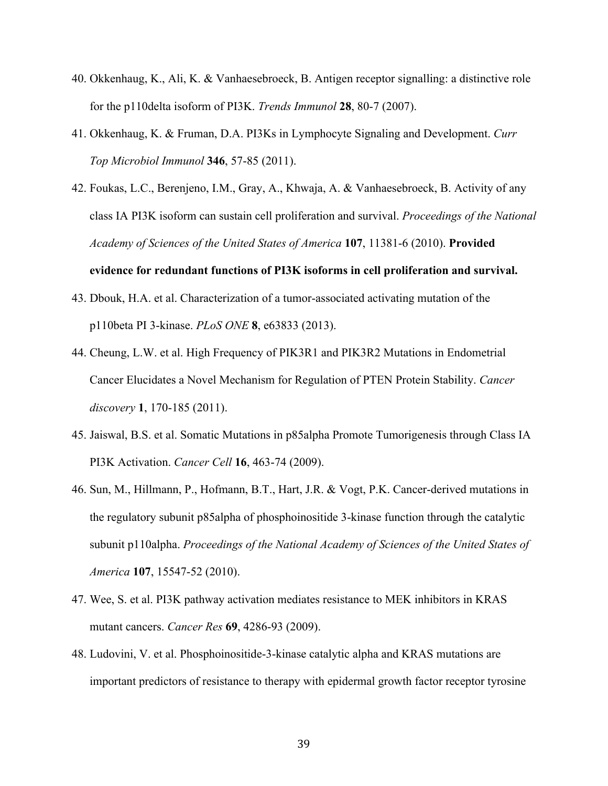- 40. Okkenhaug, K., Ali, K. & Vanhaesebroeck, B. Antigen receptor signalling: a distinctive role for the p110delta isoform of PI3K. *Trends Immunol* **28**, 80-7 (2007).
- 41. Okkenhaug, K. & Fruman, D.A. PI3Ks in Lymphocyte Signaling and Development. *Curr Top Microbiol Immunol* **346**, 57-85 (2011).
- 42. Foukas, L.C., Berenjeno, I.M., Gray, A., Khwaja, A. & Vanhaesebroeck, B. Activity of any class IA PI3K isoform can sustain cell proliferation and survival. *Proceedings of the National Academy of Sciences of the United States of America* **107**, 11381-6 (2010). **Provided**

#### **evidence for redundant functions of PI3K isoforms in cell proliferation and survival.**

- 43. Dbouk, H.A. et al. Characterization of a tumor-associated activating mutation of the p110beta PI 3-kinase. *PLoS ONE* **8**, e63833 (2013).
- 44. Cheung, L.W. et al. High Frequency of PIK3R1 and PIK3R2 Mutations in Endometrial Cancer Elucidates a Novel Mechanism for Regulation of PTEN Protein Stability. *Cancer discovery* **1**, 170-185 (2011).
- 45. Jaiswal, B.S. et al. Somatic Mutations in p85alpha Promote Tumorigenesis through Class IA PI3K Activation. *Cancer Cell* **16**, 463-74 (2009).
- 46. Sun, M., Hillmann, P., Hofmann, B.T., Hart, J.R. & Vogt, P.K. Cancer-derived mutations in the regulatory subunit p85alpha of phosphoinositide 3-kinase function through the catalytic subunit p110alpha. *Proceedings of the National Academy of Sciences of the United States of America* **107**, 15547-52 (2010).
- 47. Wee, S. et al. PI3K pathway activation mediates resistance to MEK inhibitors in KRAS mutant cancers. *Cancer Res* **69**, 4286-93 (2009).
- 48. Ludovini, V. et al. Phosphoinositide-3-kinase catalytic alpha and KRAS mutations are important predictors of resistance to therapy with epidermal growth factor receptor tyrosine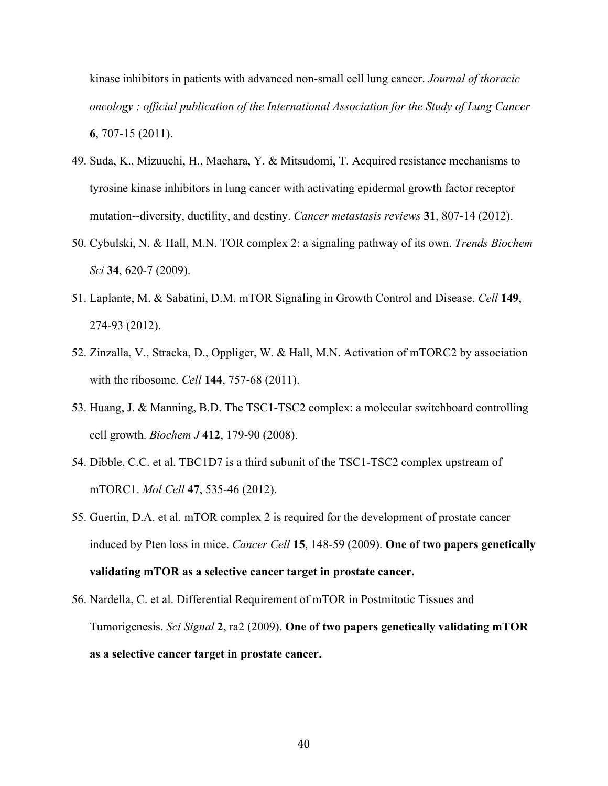kinase inhibitors in patients with advanced non-small cell lung cancer. *Journal of thoracic oncology : official publication of the International Association for the Study of Lung Cancer* **6**, 707-15 (2011).

- 49. Suda, K., Mizuuchi, H., Maehara, Y. & Mitsudomi, T. Acquired resistance mechanisms to tyrosine kinase inhibitors in lung cancer with activating epidermal growth factor receptor mutation--diversity, ductility, and destiny. *Cancer metastasis reviews* **31**, 807-14 (2012).
- 50. Cybulski, N. & Hall, M.N. TOR complex 2: a signaling pathway of its own. *Trends Biochem Sci* **34**, 620-7 (2009).
- 51. Laplante, M. & Sabatini, D.M. mTOR Signaling in Growth Control and Disease. *Cell* **149**, 274-93 (2012).
- 52. Zinzalla, V., Stracka, D., Oppliger, W. & Hall, M.N. Activation of mTORC2 by association with the ribosome. *Cell* **144**, 757-68 (2011).
- 53. Huang, J. & Manning, B.D. The TSC1-TSC2 complex: a molecular switchboard controlling cell growth. *Biochem J* **412**, 179-90 (2008).
- 54. Dibble, C.C. et al. TBC1D7 is a third subunit of the TSC1-TSC2 complex upstream of mTORC1. *Mol Cell* **47**, 535-46 (2012).
- 55. Guertin, D.A. et al. mTOR complex 2 is required for the development of prostate cancer induced by Pten loss in mice. *Cancer Cell* **15**, 148-59 (2009). **One of two papers genetically validating mTOR as a selective cancer target in prostate cancer.**
- 56. Nardella, C. et al. Differential Requirement of mTOR in Postmitotic Tissues and Tumorigenesis. *Sci Signal* **2**, ra2 (2009). **One of two papers genetically validating mTOR as a selective cancer target in prostate cancer.**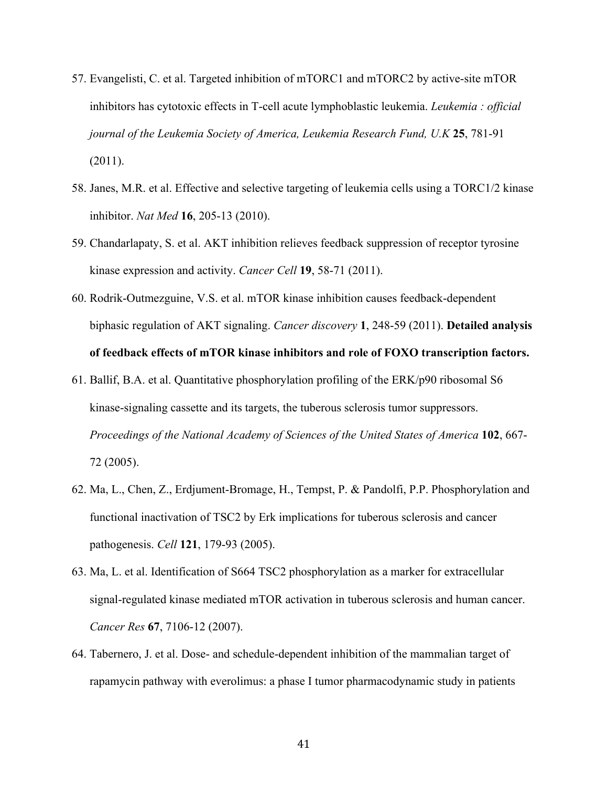- 57. Evangelisti, C. et al. Targeted inhibition of mTORC1 and mTORC2 by active-site mTOR inhibitors has cytotoxic effects in T-cell acute lymphoblastic leukemia. *Leukemia : official journal of the Leukemia Society of America, Leukemia Research Fund, U.K* **25**, 781-91 (2011).
- 58. Janes, M.R. et al. Effective and selective targeting of leukemia cells using a TORC1/2 kinase inhibitor. *Nat Med* **16**, 205-13 (2010).
- 59. Chandarlapaty, S. et al. AKT inhibition relieves feedback suppression of receptor tyrosine kinase expression and activity. *Cancer Cell* **19**, 58-71 (2011).
- 60. Rodrik-Outmezguine, V.S. et al. mTOR kinase inhibition causes feedback-dependent biphasic regulation of AKT signaling. *Cancer discovery* **1**, 248-59 (2011). **Detailed analysis of feedback effects of mTOR kinase inhibitors and role of FOXO transcription factors.**
- 61. Ballif, B.A. et al. Quantitative phosphorylation profiling of the ERK/p90 ribosomal S6 kinase-signaling cassette and its targets, the tuberous sclerosis tumor suppressors. *Proceedings of the National Academy of Sciences of the United States of America* **102**, 667- 72 (2005).
- 62. Ma, L., Chen, Z., Erdjument-Bromage, H., Tempst, P. & Pandolfi, P.P. Phosphorylation and functional inactivation of TSC2 by Erk implications for tuberous sclerosis and cancer pathogenesis. *Cell* **121**, 179-93 (2005).
- 63. Ma, L. et al. Identification of S664 TSC2 phosphorylation as a marker for extracellular signal-regulated kinase mediated mTOR activation in tuberous sclerosis and human cancer. *Cancer Res* **67**, 7106-12 (2007).
- 64. Tabernero, J. et al. Dose- and schedule-dependent inhibition of the mammalian target of rapamycin pathway with everolimus: a phase I tumor pharmacodynamic study in patients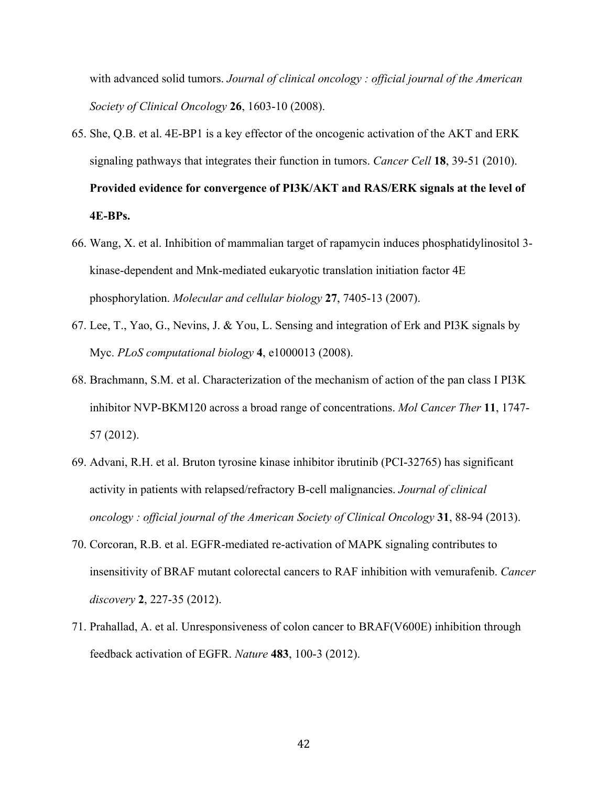with advanced solid tumors. *Journal of clinical oncology : official journal of the American Society of Clinical Oncology* **26**, 1603-10 (2008).

- 65. She, Q.B. et al. 4E-BP1 is a key effector of the oncogenic activation of the AKT and ERK signaling pathways that integrates their function in tumors. *Cancer Cell* **18**, 39-51 (2010). **Provided evidence for convergence of PI3K/AKT and RAS/ERK signals at the level of 4E-BPs.**
- 66. Wang, X. et al. Inhibition of mammalian target of rapamycin induces phosphatidylinositol 3 kinase-dependent and Mnk-mediated eukaryotic translation initiation factor 4E phosphorylation. *Molecular and cellular biology* **27**, 7405-13 (2007).
- 67. Lee, T., Yao, G., Nevins, J. & You, L. Sensing and integration of Erk and PI3K signals by Myc. *PLoS computational biology* **4**, e1000013 (2008).
- 68. Brachmann, S.M. et al. Characterization of the mechanism of action of the pan class I PI3K inhibitor NVP-BKM120 across a broad range of concentrations. *Mol Cancer Ther* **11**, 1747- 57 (2012).
- 69. Advani, R.H. et al. Bruton tyrosine kinase inhibitor ibrutinib (PCI-32765) has significant activity in patients with relapsed/refractory B-cell malignancies. *Journal of clinical oncology : official journal of the American Society of Clinical Oncology* **31**, 88-94 (2013).
- 70. Corcoran, R.B. et al. EGFR-mediated re-activation of MAPK signaling contributes to insensitivity of BRAF mutant colorectal cancers to RAF inhibition with vemurafenib. *Cancer discovery* **2**, 227-35 (2012).
- 71. Prahallad, A. et al. Unresponsiveness of colon cancer to BRAF(V600E) inhibition through feedback activation of EGFR. *Nature* **483**, 100-3 (2012).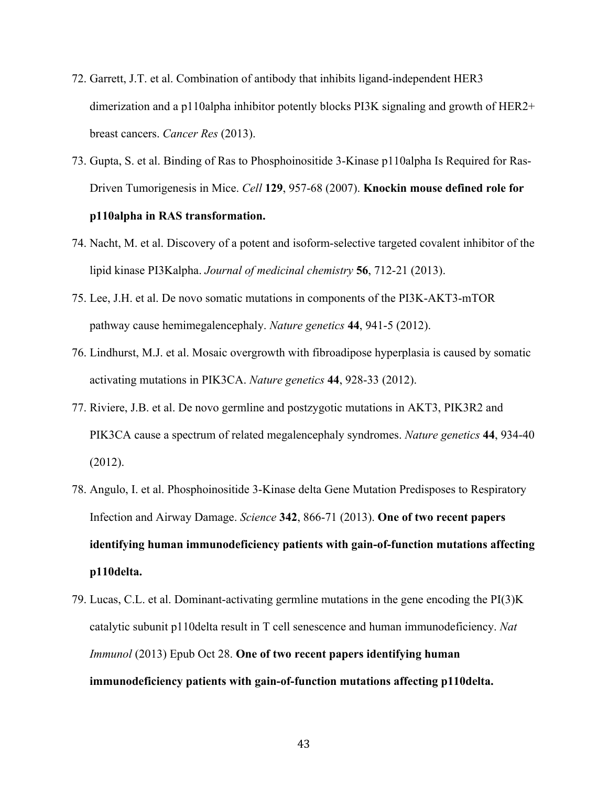- 72. Garrett, J.T. et al. Combination of antibody that inhibits ligand-independent HER3 dimerization and a p110alpha inhibitor potently blocks PI3K signaling and growth of HER2+ breast cancers. *Cancer Res* (2013).
- 73. Gupta, S. et al. Binding of Ras to Phosphoinositide 3-Kinase p110alpha Is Required for Ras-Driven Tumorigenesis in Mice. *Cell* **129**, 957-68 (2007). **Knockin mouse defined role for p110alpha in RAS transformation.**
- 74. Nacht, M. et al. Discovery of a potent and isoform-selective targeted covalent inhibitor of the lipid kinase PI3Kalpha. *Journal of medicinal chemistry* **56**, 712-21 (2013).
- 75. Lee, J.H. et al. De novo somatic mutations in components of the PI3K-AKT3-mTOR pathway cause hemimegalencephaly. *Nature genetics* **44**, 941-5 (2012).
- 76. Lindhurst, M.J. et al. Mosaic overgrowth with fibroadipose hyperplasia is caused by somatic activating mutations in PIK3CA. *Nature genetics* **44**, 928-33 (2012).
- 77. Riviere, J.B. et al. De novo germline and postzygotic mutations in AKT3, PIK3R2 and PIK3CA cause a spectrum of related megalencephaly syndromes. *Nature genetics* **44**, 934-40 (2012).
- 78. Angulo, I. et al. Phosphoinositide 3-Kinase delta Gene Mutation Predisposes to Respiratory Infection and Airway Damage. *Science* **342**, 866-71 (2013). **One of two recent papers identifying human immunodeficiency patients with gain-of-function mutations affecting p110delta.**
- 79. Lucas, C.L. et al. Dominant-activating germline mutations in the gene encoding the PI(3)K catalytic subunit p110delta result in T cell senescence and human immunodeficiency. *Nat Immunol* (2013) Epub Oct 28. **One of two recent papers identifying human immunodeficiency patients with gain-of-function mutations affecting p110delta.**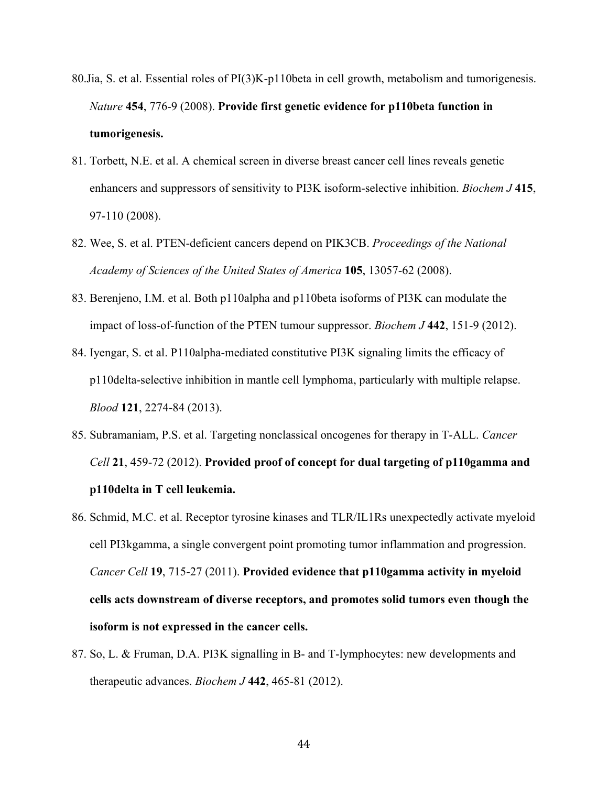- 80.Jia, S. et al. Essential roles of PI(3)K-p110beta in cell growth, metabolism and tumorigenesis. *Nature* **454**, 776-9 (2008). **Provide first genetic evidence for p110beta function in tumorigenesis.**
- 81. Torbett, N.E. et al. A chemical screen in diverse breast cancer cell lines reveals genetic enhancers and suppressors of sensitivity to PI3K isoform-selective inhibition. *Biochem J* **415**, 97-110 (2008).
- 82. Wee, S. et al. PTEN-deficient cancers depend on PIK3CB. *Proceedings of the National Academy of Sciences of the United States of America* **105**, 13057-62 (2008).
- 83. Berenjeno, I.M. et al. Both p110alpha and p110beta isoforms of PI3K can modulate the impact of loss-of-function of the PTEN tumour suppressor. *Biochem J* **442**, 151-9 (2012).
- 84. Iyengar, S. et al. P110alpha-mediated constitutive PI3K signaling limits the efficacy of p110delta-selective inhibition in mantle cell lymphoma, particularly with multiple relapse. *Blood* **121**, 2274-84 (2013).
- 85. Subramaniam, P.S. et al. Targeting nonclassical oncogenes for therapy in T-ALL. *Cancer Cell* **21**, 459-72 (2012). **Provided proof of concept for dual targeting of p110gamma and p110delta in T cell leukemia.**
- 86. Schmid, M.C. et al. Receptor tyrosine kinases and TLR/IL1Rs unexpectedly activate myeloid cell PI3kgamma, a single convergent point promoting tumor inflammation and progression. *Cancer Cell* **19**, 715-27 (2011). **Provided evidence that p110gamma activity in myeloid cells acts downstream of diverse receptors, and promotes solid tumors even though the isoform is not expressed in the cancer cells.**
- 87. So, L. & Fruman, D.A. PI3K signalling in B- and T-lymphocytes: new developments and therapeutic advances. *Biochem J* **442**, 465-81 (2012).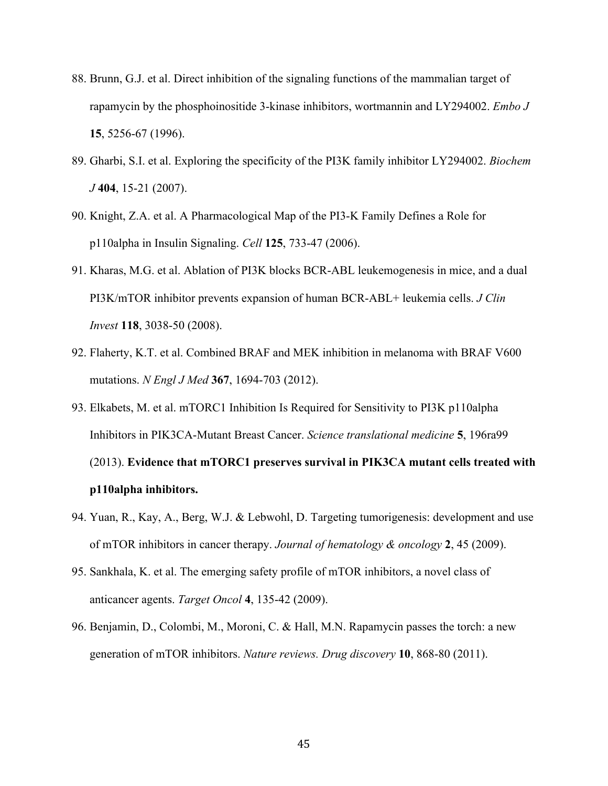- 88. Brunn, G.J. et al. Direct inhibition of the signaling functions of the mammalian target of rapamycin by the phosphoinositide 3-kinase inhibitors, wortmannin and LY294002. *Embo J* **15**, 5256-67 (1996).
- 89. Gharbi, S.I. et al. Exploring the specificity of the PI3K family inhibitor LY294002. *Biochem J* **404**, 15-21 (2007).
- 90. Knight, Z.A. et al. A Pharmacological Map of the PI3-K Family Defines a Role for p110alpha in Insulin Signaling. *Cell* **125**, 733-47 (2006).
- 91. Kharas, M.G. et al. Ablation of PI3K blocks BCR-ABL leukemogenesis in mice, and a dual PI3K/mTOR inhibitor prevents expansion of human BCR-ABL+ leukemia cells. *J Clin Invest* **118**, 3038-50 (2008).
- 92. Flaherty, K.T. et al. Combined BRAF and MEK inhibition in melanoma with BRAF V600 mutations. *N Engl J Med* **367**, 1694-703 (2012).
- 93. Elkabets, M. et al. mTORC1 Inhibition Is Required for Sensitivity to PI3K p110alpha Inhibitors in PIK3CA-Mutant Breast Cancer. *Science translational medicine* **5**, 196ra99 (2013). **Evidence that mTORC1 preserves survival in PIK3CA mutant cells treated with p110alpha inhibitors.**
- 94. Yuan, R., Kay, A., Berg, W.J. & Lebwohl, D. Targeting tumorigenesis: development and use of mTOR inhibitors in cancer therapy. *Journal of hematology & oncology* **2**, 45 (2009).
- 95. Sankhala, K. et al. The emerging safety profile of mTOR inhibitors, a novel class of anticancer agents. *Target Oncol* **4**, 135-42 (2009).
- 96. Benjamin, D., Colombi, M., Moroni, C. & Hall, M.N. Rapamycin passes the torch: a new generation of mTOR inhibitors. *Nature reviews. Drug discovery* **10**, 868-80 (2011).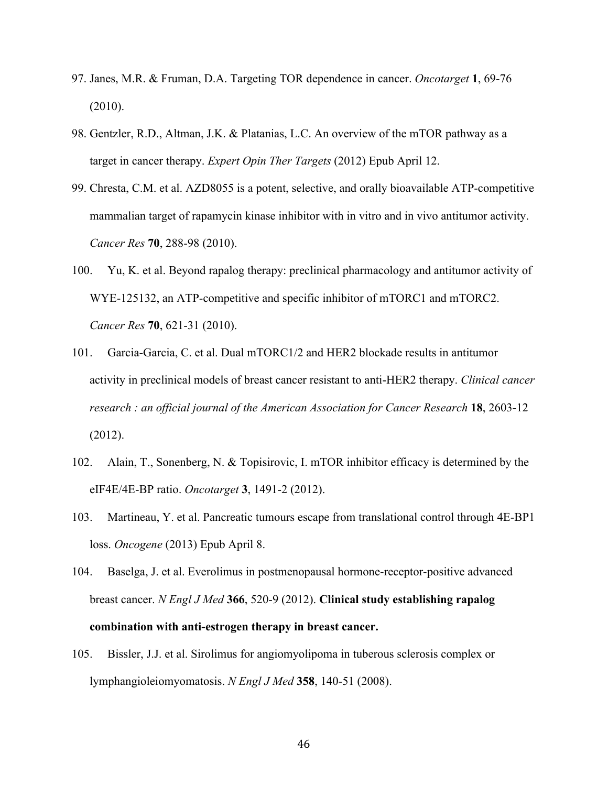- 97. Janes, M.R. & Fruman, D.A. Targeting TOR dependence in cancer. *Oncotarget* **1**, 69-76 (2010).
- 98. Gentzler, R.D., Altman, J.K. & Platanias, L.C. An overview of the mTOR pathway as a target in cancer therapy. *Expert Opin Ther Targets* (2012) Epub April 12.
- 99. Chresta, C.M. et al. AZD8055 is a potent, selective, and orally bioavailable ATP-competitive mammalian target of rapamycin kinase inhibitor with in vitro and in vivo antitumor activity. *Cancer Res* **70**, 288-98 (2010).
- 100. Yu, K. et al. Beyond rapalog therapy: preclinical pharmacology and antitumor activity of WYE-125132, an ATP-competitive and specific inhibitor of mTORC1 and mTORC2. *Cancer Res* **70**, 621-31 (2010).
- 101. Garcia-Garcia, C. et al. Dual mTORC1/2 and HER2 blockade results in antitumor activity in preclinical models of breast cancer resistant to anti-HER2 therapy. *Clinical cancer research : an official journal of the American Association for Cancer Research* **18**, 2603-12 (2012).
- 102. Alain, T., Sonenberg, N. & Topisirovic, I. mTOR inhibitor efficacy is determined by the eIF4E/4E-BP ratio. *Oncotarget* **3**, 1491-2 (2012).
- 103. Martineau, Y. et al. Pancreatic tumours escape from translational control through 4E-BP1 loss. *Oncogene* (2013) Epub April 8.
- 104. Baselga, J. et al. Everolimus in postmenopausal hormone-receptor-positive advanced breast cancer. *N Engl J Med* **366**, 520-9 (2012). **Clinical study establishing rapalog combination with anti-estrogen therapy in breast cancer.**
- 105. Bissler, J.J. et al. Sirolimus for angiomyolipoma in tuberous sclerosis complex or lymphangioleiomyomatosis. *N Engl J Med* **358**, 140-51 (2008).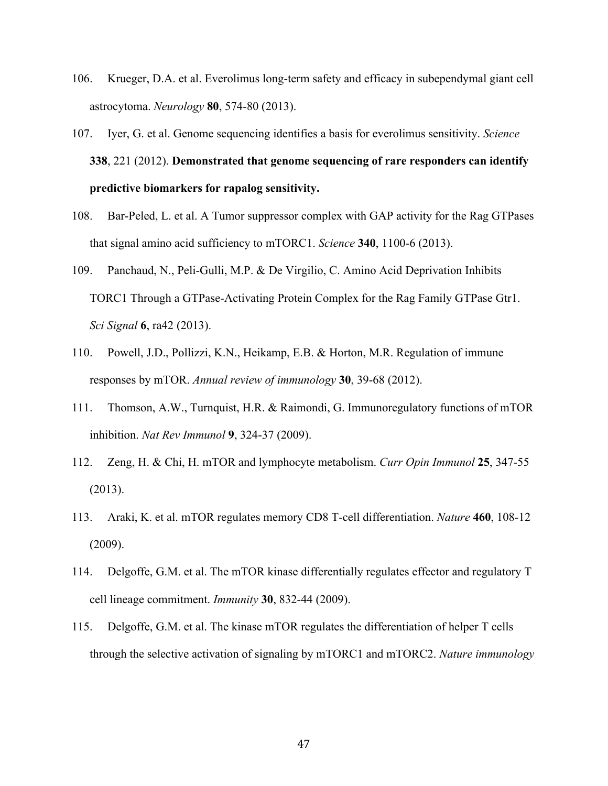- 106. Krueger, D.A. et al. Everolimus long-term safety and efficacy in subependymal giant cell astrocytoma. *Neurology* **80**, 574-80 (2013).
- 107. Iyer, G. et al. Genome sequencing identifies a basis for everolimus sensitivity. *Science* **338**, 221 (2012). **Demonstrated that genome sequencing of rare responders can identify predictive biomarkers for rapalog sensitivity.**
- 108. Bar-Peled, L. et al. A Tumor suppressor complex with GAP activity for the Rag GTPases that signal amino acid sufficiency to mTORC1. *Science* **340**, 1100-6 (2013).
- 109. Panchaud, N., Peli-Gulli, M.P. & De Virgilio, C. Amino Acid Deprivation Inhibits TORC1 Through a GTPase-Activating Protein Complex for the Rag Family GTPase Gtr1. *Sci Signal* **6**, ra42 (2013).
- 110. Powell, J.D., Pollizzi, K.N., Heikamp, E.B. & Horton, M.R. Regulation of immune responses by mTOR. *Annual review of immunology* **30**, 39-68 (2012).
- 111. Thomson, A.W., Turnquist, H.R. & Raimondi, G. Immunoregulatory functions of mTOR inhibition. *Nat Rev Immunol* **9**, 324-37 (2009).
- 112. Zeng, H. & Chi, H. mTOR and lymphocyte metabolism. *Curr Opin Immunol* **25**, 347-55 (2013).
- 113. Araki, K. et al. mTOR regulates memory CD8 T-cell differentiation. *Nature* **460**, 108-12 (2009).
- 114. Delgoffe, G.M. et al. The mTOR kinase differentially regulates effector and regulatory T cell lineage commitment. *Immunity* **30**, 832-44 (2009).
- 115. Delgoffe, G.M. et al. The kinase mTOR regulates the differentiation of helper T cells through the selective activation of signaling by mTORC1 and mTORC2. *Nature immunology*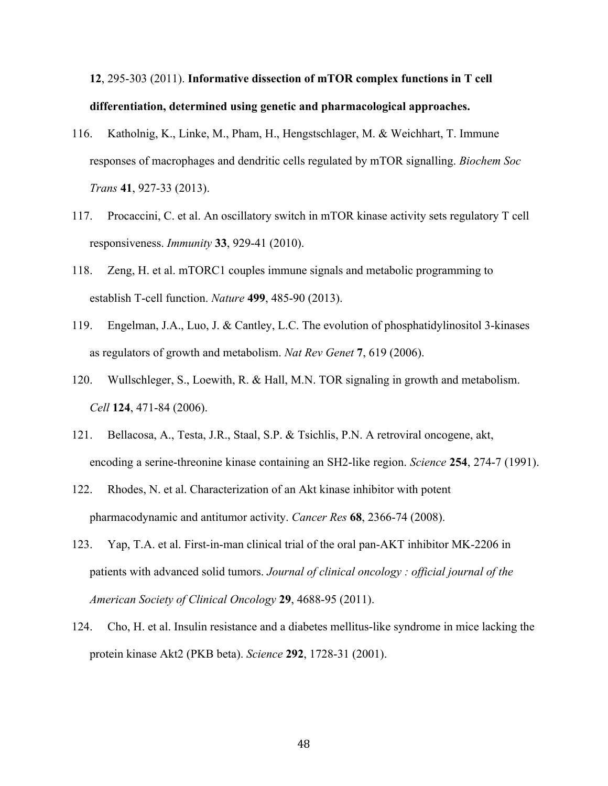# **12**, 295-303 (2011). **Informative dissection of mTOR complex functions in T cell differentiation, determined using genetic and pharmacological approaches.**

- 116. Katholnig, K., Linke, M., Pham, H., Hengstschlager, M. & Weichhart, T. Immune responses of macrophages and dendritic cells regulated by mTOR signalling. *Biochem Soc Trans* **41**, 927-33 (2013).
- 117. Procaccini, C. et al. An oscillatory switch in mTOR kinase activity sets regulatory T cell responsiveness. *Immunity* **33**, 929-41 (2010).
- 118. Zeng, H. et al. mTORC1 couples immune signals and metabolic programming to establish T-cell function. *Nature* **499**, 485-90 (2013).
- 119. Engelman, J.A., Luo, J. & Cantley, L.C. The evolution of phosphatidylinositol 3-kinases as regulators of growth and metabolism. *Nat Rev Genet* **7**, 619 (2006).
- 120. Wullschleger, S., Loewith, R. & Hall, M.N. TOR signaling in growth and metabolism. *Cell* **124**, 471-84 (2006).
- 121. Bellacosa, A., Testa, J.R., Staal, S.P. & Tsichlis, P.N. A retroviral oncogene, akt, encoding a serine-threonine kinase containing an SH2-like region. *Science* **254**, 274-7 (1991).
- 122. Rhodes, N. et al. Characterization of an Akt kinase inhibitor with potent pharmacodynamic and antitumor activity. *Cancer Res* **68**, 2366-74 (2008).
- 123. Yap, T.A. et al. First-in-man clinical trial of the oral pan-AKT inhibitor MK-2206 in patients with advanced solid tumors. *Journal of clinical oncology : official journal of the American Society of Clinical Oncology* **29**, 4688-95 (2011).
- 124. Cho, H. et al. Insulin resistance and a diabetes mellitus-like syndrome in mice lacking the protein kinase Akt2 (PKB beta). *Science* **292**, 1728-31 (2001).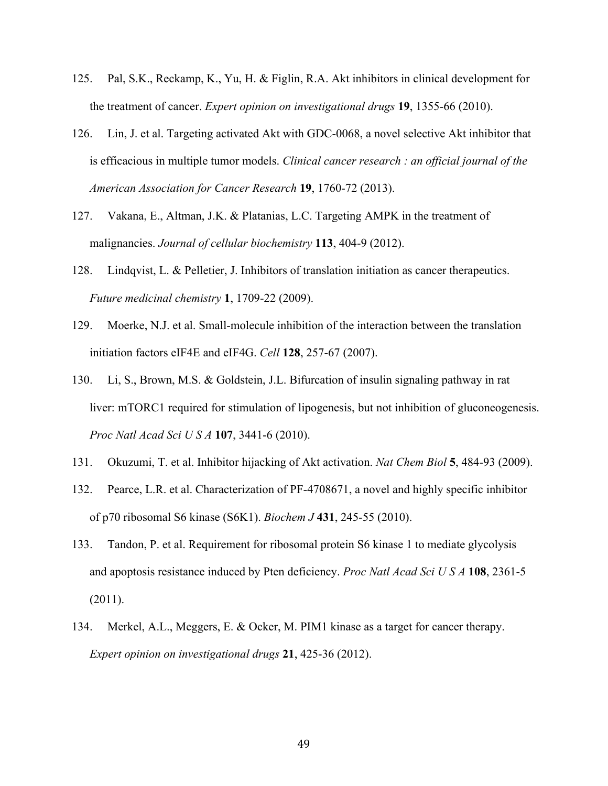- 125. Pal, S.K., Reckamp, K., Yu, H. & Figlin, R.A. Akt inhibitors in clinical development for the treatment of cancer. *Expert opinion on investigational drugs* **19**, 1355-66 (2010).
- 126. Lin, J. et al. Targeting activated Akt with GDC-0068, a novel selective Akt inhibitor that is efficacious in multiple tumor models. *Clinical cancer research : an official journal of the American Association for Cancer Research* **19**, 1760-72 (2013).
- 127. Vakana, E., Altman, J.K. & Platanias, L.C. Targeting AMPK in the treatment of malignancies. *Journal of cellular biochemistry* **113**, 404-9 (2012).
- 128. Lindqvist, L. & Pelletier, J. Inhibitors of translation initiation as cancer therapeutics. *Future medicinal chemistry* **1**, 1709-22 (2009).
- 129. Moerke, N.J. et al. Small-molecule inhibition of the interaction between the translation initiation factors eIF4E and eIF4G. *Cell* **128**, 257-67 (2007).
- 130. Li, S., Brown, M.S. & Goldstein, J.L. Bifurcation of insulin signaling pathway in rat liver: mTORC1 required for stimulation of lipogenesis, but not inhibition of gluconeogenesis. *Proc Natl Acad Sci U S A* **107**, 3441-6 (2010).
- 131. Okuzumi, T. et al. Inhibitor hijacking of Akt activation. *Nat Chem Biol* **5**, 484-93 (2009).
- 132. Pearce, L.R. et al. Characterization of PF-4708671, a novel and highly specific inhibitor of p70 ribosomal S6 kinase (S6K1). *Biochem J* **431**, 245-55 (2010).
- 133. Tandon, P. et al. Requirement for ribosomal protein S6 kinase 1 to mediate glycolysis and apoptosis resistance induced by Pten deficiency. *Proc Natl Acad Sci U S A* **108**, 2361-5 (2011).
- 134. Merkel, A.L., Meggers, E. & Ocker, M. PIM1 kinase as a target for cancer therapy. *Expert opinion on investigational drugs* **21**, 425-36 (2012).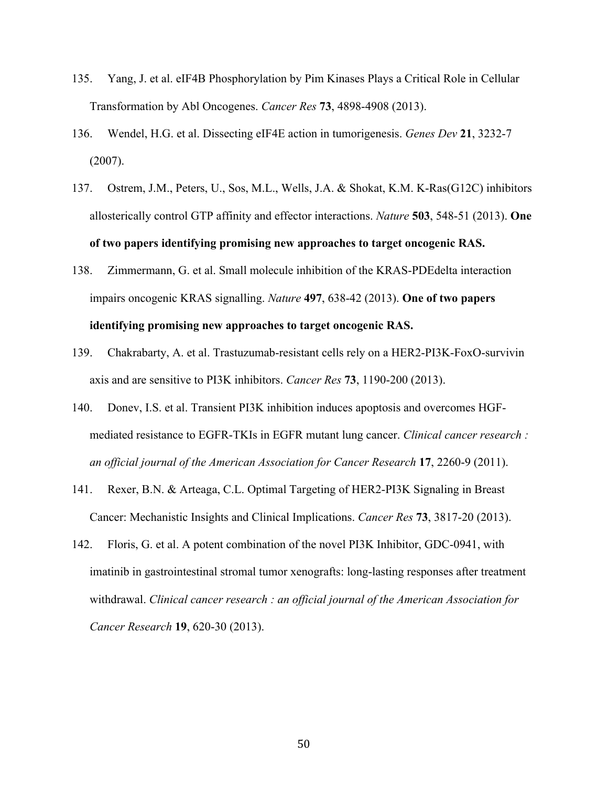- 135. Yang, J. et al. eIF4B Phosphorylation by Pim Kinases Plays a Critical Role in Cellular Transformation by Abl Oncogenes. *Cancer Res* **73**, 4898-4908 (2013).
- 136. Wendel, H.G. et al. Dissecting eIF4E action in tumorigenesis. *Genes Dev* **21**, 3232-7 (2007).
- 137. Ostrem, J.M., Peters, U., Sos, M.L., Wells, J.A. & Shokat, K.M. K-Ras(G12C) inhibitors allosterically control GTP affinity and effector interactions. *Nature* **503**, 548-51 (2013). **One of two papers identifying promising new approaches to target oncogenic RAS.**
- 138. Zimmermann, G. et al. Small molecule inhibition of the KRAS-PDEdelta interaction impairs oncogenic KRAS signalling. *Nature* **497**, 638-42 (2013). **One of two papers identifying promising new approaches to target oncogenic RAS.**
- 139. Chakrabarty, A. et al. Trastuzumab-resistant cells rely on a HER2-PI3K-FoxO-survivin axis and are sensitive to PI3K inhibitors. *Cancer Res* **73**, 1190-200 (2013).
- 140. Donev, I.S. et al. Transient PI3K inhibition induces apoptosis and overcomes HGFmediated resistance to EGFR-TKIs in EGFR mutant lung cancer. *Clinical cancer research : an official journal of the American Association for Cancer Research* **17**, 2260-9 (2011).
- 141. Rexer, B.N. & Arteaga, C.L. Optimal Targeting of HER2-PI3K Signaling in Breast Cancer: Mechanistic Insights and Clinical Implications. *Cancer Res* **73**, 3817-20 (2013).
- 142. Floris, G. et al. A potent combination of the novel PI3K Inhibitor, GDC-0941, with imatinib in gastrointestinal stromal tumor xenografts: long-lasting responses after treatment withdrawal. *Clinical cancer research : an official journal of the American Association for Cancer Research* **19**, 620-30 (2013).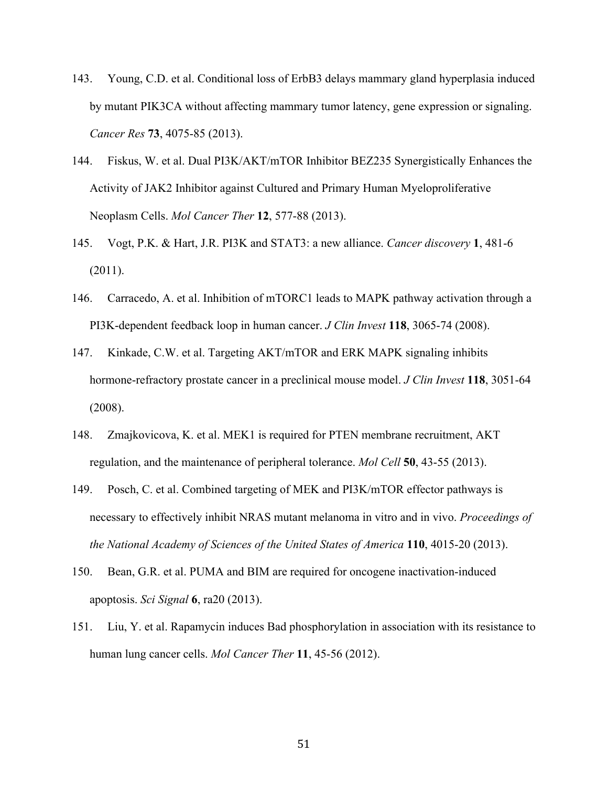- 143. Young, C.D. et al. Conditional loss of ErbB3 delays mammary gland hyperplasia induced by mutant PIK3CA without affecting mammary tumor latency, gene expression or signaling. *Cancer Res* **73**, 4075-85 (2013).
- 144. Fiskus, W. et al. Dual PI3K/AKT/mTOR Inhibitor BEZ235 Synergistically Enhances the Activity of JAK2 Inhibitor against Cultured and Primary Human Myeloproliferative Neoplasm Cells. *Mol Cancer Ther* **12**, 577-88 (2013).
- 145. Vogt, P.K. & Hart, J.R. PI3K and STAT3: a new alliance. *Cancer discovery* **1**, 481-6 (2011).
- 146. Carracedo, A. et al. Inhibition of mTORC1 leads to MAPK pathway activation through a PI3K-dependent feedback loop in human cancer. *J Clin Invest* **118**, 3065-74 (2008).
- 147. Kinkade, C.W. et al. Targeting AKT/mTOR and ERK MAPK signaling inhibits hormone-refractory prostate cancer in a preclinical mouse model. *J Clin Invest* **118**, 3051-64 (2008).
- 148. Zmajkovicova, K. et al. MEK1 is required for PTEN membrane recruitment, AKT regulation, and the maintenance of peripheral tolerance. *Mol Cell* **50**, 43-55 (2013).
- 149. Posch, C. et al. Combined targeting of MEK and PI3K/mTOR effector pathways is necessary to effectively inhibit NRAS mutant melanoma in vitro and in vivo. *Proceedings of the National Academy of Sciences of the United States of America* **110**, 4015-20 (2013).
- 150. Bean, G.R. et al. PUMA and BIM are required for oncogene inactivation-induced apoptosis. *Sci Signal* **6**, ra20 (2013).
- 151. Liu, Y. et al. Rapamycin induces Bad phosphorylation in association with its resistance to human lung cancer cells. *Mol Cancer Ther* **11**, 45-56 (2012).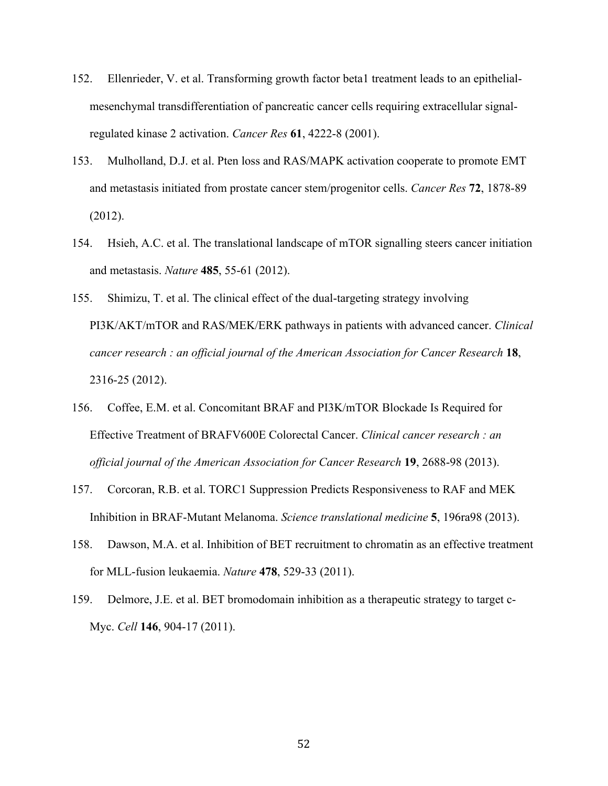- 152. Ellenrieder, V. et al. Transforming growth factor beta1 treatment leads to an epithelialmesenchymal transdifferentiation of pancreatic cancer cells requiring extracellular signalregulated kinase 2 activation. *Cancer Res* **61**, 4222-8 (2001).
- 153. Mulholland, D.J. et al. Pten loss and RAS/MAPK activation cooperate to promote EMT and metastasis initiated from prostate cancer stem/progenitor cells. *Cancer Res* **72**, 1878-89 (2012).
- 154. Hsieh, A.C. et al. The translational landscape of mTOR signalling steers cancer initiation and metastasis. *Nature* **485**, 55-61 (2012).
- 155. Shimizu, T. et al. The clinical effect of the dual-targeting strategy involving PI3K/AKT/mTOR and RAS/MEK/ERK pathways in patients with advanced cancer. *Clinical cancer research : an official journal of the American Association for Cancer Research* **18**, 2316-25 (2012).
- 156. Coffee, E.M. et al. Concomitant BRAF and PI3K/mTOR Blockade Is Required for Effective Treatment of BRAFV600E Colorectal Cancer. *Clinical cancer research : an official journal of the American Association for Cancer Research* **19**, 2688-98 (2013).
- 157. Corcoran, R.B. et al. TORC1 Suppression Predicts Responsiveness to RAF and MEK Inhibition in BRAF-Mutant Melanoma. *Science translational medicine* **5**, 196ra98 (2013).
- 158. Dawson, M.A. et al. Inhibition of BET recruitment to chromatin as an effective treatment for MLL-fusion leukaemia. *Nature* **478**, 529-33 (2011).
- 159. Delmore, J.E. et al. BET bromodomain inhibition as a therapeutic strategy to target c-Myc. *Cell* **146**, 904-17 (2011).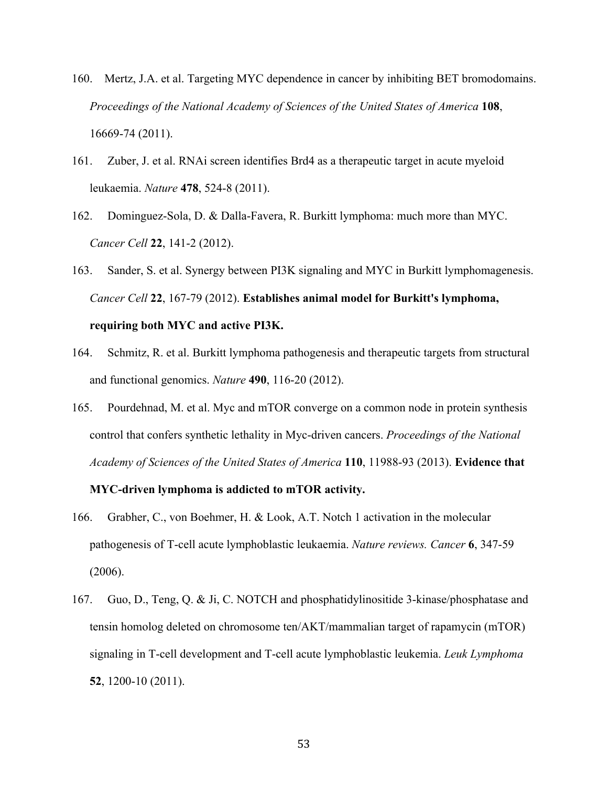- 160. Mertz, J.A. et al. Targeting MYC dependence in cancer by inhibiting BET bromodomains. *Proceedings of the National Academy of Sciences of the United States of America* **108**, 16669-74 (2011).
- 161. Zuber, J. et al. RNAi screen identifies Brd4 as a therapeutic target in acute myeloid leukaemia. *Nature* **478**, 524-8 (2011).
- 162. Dominguez-Sola, D. & Dalla-Favera, R. Burkitt lymphoma: much more than MYC. *Cancer Cell* **22**, 141-2 (2012).
- 163. Sander, S. et al. Synergy between PI3K signaling and MYC in Burkitt lymphomagenesis. *Cancer Cell* **22**, 167-79 (2012). **Establishes animal model for Burkitt's lymphoma, requiring both MYC and active PI3K.**
- 164. Schmitz, R. et al. Burkitt lymphoma pathogenesis and therapeutic targets from structural and functional genomics. *Nature* **490**, 116-20 (2012).
- 165. Pourdehnad, M. et al. Myc and mTOR converge on a common node in protein synthesis control that confers synthetic lethality in Myc-driven cancers. *Proceedings of the National Academy of Sciences of the United States of America* **110**, 11988-93 (2013). **Evidence that**

#### **MYC-driven lymphoma is addicted to mTOR activity.**

- 166. Grabher, C., von Boehmer, H. & Look, A.T. Notch 1 activation in the molecular pathogenesis of T-cell acute lymphoblastic leukaemia. *Nature reviews. Cancer* **6**, 347-59 (2006).
- 167. Guo, D., Teng, Q. & Ji, C. NOTCH and phosphatidylinositide 3-kinase/phosphatase and tensin homolog deleted on chromosome ten/AKT/mammalian target of rapamycin (mTOR) signaling in T-cell development and T-cell acute lymphoblastic leukemia. *Leuk Lymphoma* **52**, 1200-10 (2011).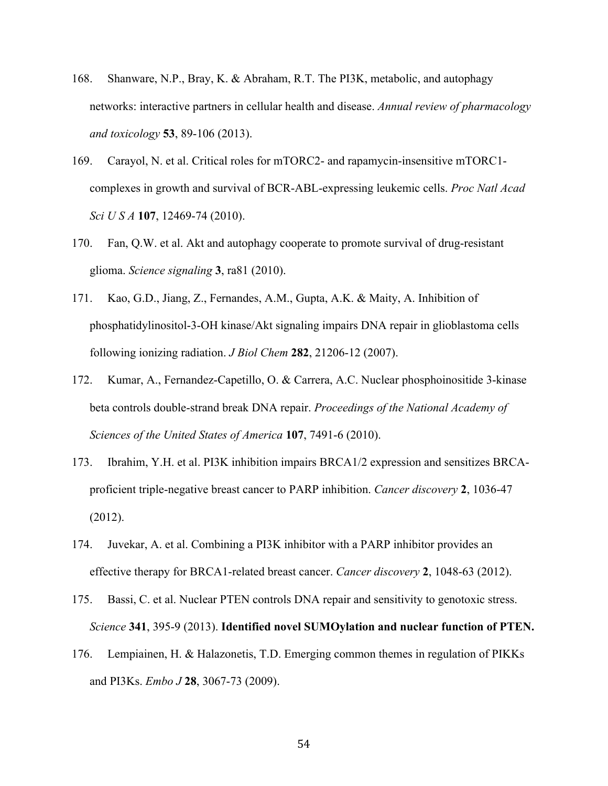- 168. Shanware, N.P., Bray, K. & Abraham, R.T. The PI3K, metabolic, and autophagy networks: interactive partners in cellular health and disease. *Annual review of pharmacology and toxicology* **53**, 89-106 (2013).
- 169. Carayol, N. et al. Critical roles for mTORC2- and rapamycin-insensitive mTORC1 complexes in growth and survival of BCR-ABL-expressing leukemic cells. *Proc Natl Acad Sci U S A* **107**, 12469-74 (2010).
- 170. Fan, Q.W. et al. Akt and autophagy cooperate to promote survival of drug-resistant glioma. *Science signaling* **3**, ra81 (2010).
- 171. Kao, G.D., Jiang, Z., Fernandes, A.M., Gupta, A.K. & Maity, A. Inhibition of phosphatidylinositol-3-OH kinase/Akt signaling impairs DNA repair in glioblastoma cells following ionizing radiation. *J Biol Chem* **282**, 21206-12 (2007).
- 172. Kumar, A., Fernandez-Capetillo, O. & Carrera, A.C. Nuclear phosphoinositide 3-kinase beta controls double-strand break DNA repair. *Proceedings of the National Academy of Sciences of the United States of America* **107**, 7491-6 (2010).
- 173. Ibrahim, Y.H. et al. PI3K inhibition impairs BRCA1/2 expression and sensitizes BRCAproficient triple-negative breast cancer to PARP inhibition. *Cancer discovery* **2**, 1036-47 (2012).
- 174. Juvekar, A. et al. Combining a PI3K inhibitor with a PARP inhibitor provides an effective therapy for BRCA1-related breast cancer. *Cancer discovery* **2**, 1048-63 (2012).
- 175. Bassi, C. et al. Nuclear PTEN controls DNA repair and sensitivity to genotoxic stress. *Science* **341**, 395-9 (2013). **Identified novel SUMOylation and nuclear function of PTEN.**
- 176. Lempiainen, H. & Halazonetis, T.D. Emerging common themes in regulation of PIKKs and PI3Ks. *Embo J* **28**, 3067-73 (2009).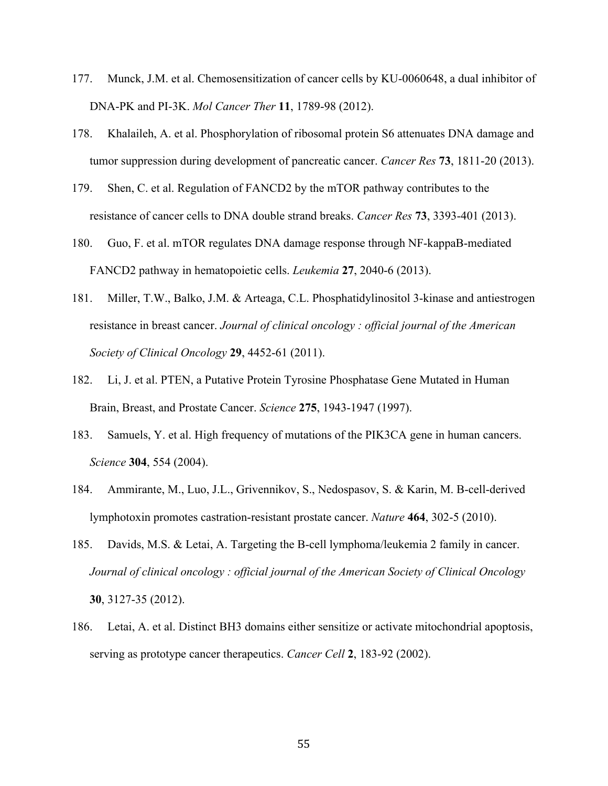- 177. Munck, J.M. et al. Chemosensitization of cancer cells by KU-0060648, a dual inhibitor of DNA-PK and PI-3K. *Mol Cancer Ther* **11**, 1789-98 (2012).
- 178. Khalaileh, A. et al. Phosphorylation of ribosomal protein S6 attenuates DNA damage and tumor suppression during development of pancreatic cancer. *Cancer Res* **73**, 1811-20 (2013).
- 179. Shen, C. et al. Regulation of FANCD2 by the mTOR pathway contributes to the resistance of cancer cells to DNA double strand breaks. *Cancer Res* **73**, 3393-401 (2013).
- 180. Guo, F. et al. mTOR regulates DNA damage response through NF-kappaB-mediated FANCD2 pathway in hematopoietic cells. *Leukemia* **27**, 2040-6 (2013).
- 181. Miller, T.W., Balko, J.M. & Arteaga, C.L. Phosphatidylinositol 3-kinase and antiestrogen resistance in breast cancer. *Journal of clinical oncology : official journal of the American Society of Clinical Oncology* **29**, 4452-61 (2011).
- 182. Li, J. et al. PTEN, a Putative Protein Tyrosine Phosphatase Gene Mutated in Human Brain, Breast, and Prostate Cancer. *Science* **275**, 1943-1947 (1997).
- 183. Samuels, Y. et al. High frequency of mutations of the PIK3CA gene in human cancers. *Science* **304**, 554 (2004).
- 184. Ammirante, M., Luo, J.L., Grivennikov, S., Nedospasov, S. & Karin, M. B-cell-derived lymphotoxin promotes castration-resistant prostate cancer. *Nature* **464**, 302-5 (2010).
- 185. Davids, M.S. & Letai, A. Targeting the B-cell lymphoma/leukemia 2 family in cancer. *Journal of clinical oncology : official journal of the American Society of Clinical Oncology* **30**, 3127-35 (2012).
- 186. Letai, A. et al. Distinct BH3 domains either sensitize or activate mitochondrial apoptosis, serving as prototype cancer therapeutics. *Cancer Cell* **2**, 183-92 (2002).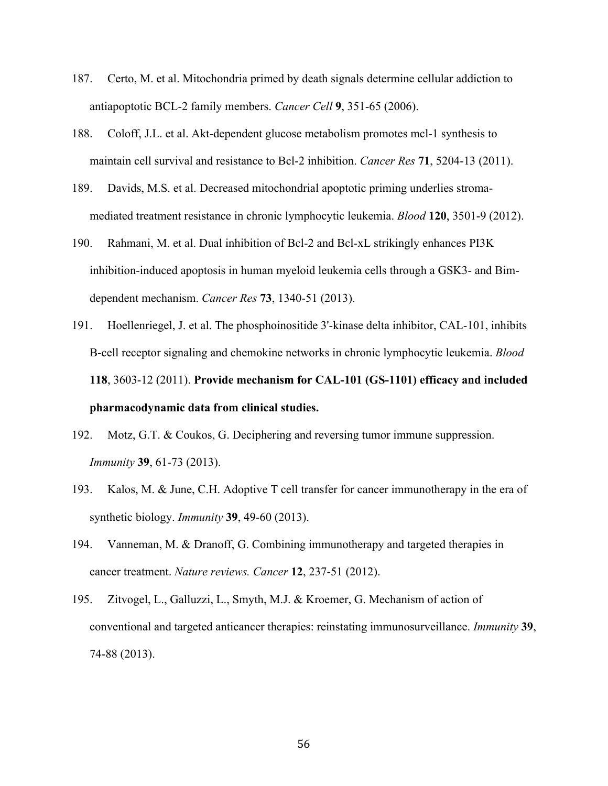- 187. Certo, M. et al. Mitochondria primed by death signals determine cellular addiction to antiapoptotic BCL-2 family members. *Cancer Cell* **9**, 351-65 (2006).
- 188. Coloff, J.L. et al. Akt-dependent glucose metabolism promotes mcl-1 synthesis to maintain cell survival and resistance to Bcl-2 inhibition. *Cancer Res* **71**, 5204-13 (2011).
- 189. Davids, M.S. et al. Decreased mitochondrial apoptotic priming underlies stromamediated treatment resistance in chronic lymphocytic leukemia. *Blood* **120**, 3501-9 (2012).
- 190. Rahmani, M. et al. Dual inhibition of Bcl-2 and Bcl-xL strikingly enhances PI3K inhibition-induced apoptosis in human myeloid leukemia cells through a GSK3- and Bimdependent mechanism. *Cancer Res* **73**, 1340-51 (2013).
- 191. Hoellenriegel, J. et al. The phosphoinositide 3'-kinase delta inhibitor, CAL-101, inhibits B-cell receptor signaling and chemokine networks in chronic lymphocytic leukemia. *Blood* **118**, 3603-12 (2011). **Provide mechanism for CAL-101 (GS-1101) efficacy and included pharmacodynamic data from clinical studies.**
- 192. Motz, G.T. & Coukos, G. Deciphering and reversing tumor immune suppression. *Immunity* **39**, 61-73 (2013).
- 193. Kalos, M. & June, C.H. Adoptive T cell transfer for cancer immunotherapy in the era of synthetic biology. *Immunity* **39**, 49-60 (2013).
- 194. Vanneman, M. & Dranoff, G. Combining immunotherapy and targeted therapies in cancer treatment. *Nature reviews. Cancer* **12**, 237-51 (2012).
- 195. Zitvogel, L., Galluzzi, L., Smyth, M.J. & Kroemer, G. Mechanism of action of conventional and targeted anticancer therapies: reinstating immunosurveillance. *Immunity* **39**, 74-88 (2013).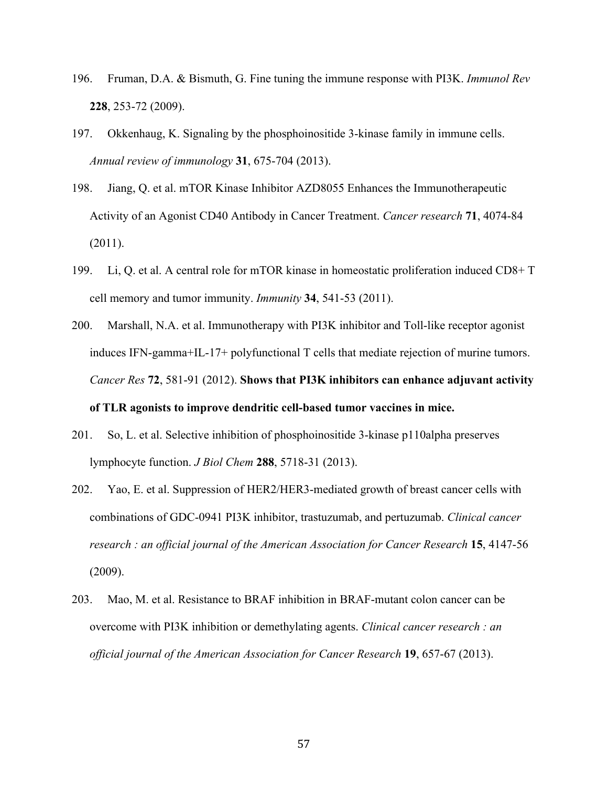- 196. Fruman, D.A. & Bismuth, G. Fine tuning the immune response with PI3K. *Immunol Rev* **228**, 253-72 (2009).
- 197. Okkenhaug, K. Signaling by the phosphoinositide 3-kinase family in immune cells. *Annual review of immunology* **31**, 675-704 (2013).
- 198. Jiang, Q. et al. mTOR Kinase Inhibitor AZD8055 Enhances the Immunotherapeutic Activity of an Agonist CD40 Antibody in Cancer Treatment. *Cancer research* **71**, 4074-84 (2011).
- 199. Li, Q. et al. A central role for mTOR kinase in homeostatic proliferation induced CD8+ T cell memory and tumor immunity. *Immunity* **34**, 541-53 (2011).
- 200. Marshall, N.A. et al. Immunotherapy with PI3K inhibitor and Toll-like receptor agonist induces IFN-gamma+IL-17+ polyfunctional T cells that mediate rejection of murine tumors. *Cancer Res* **72**, 581-91 (2012). **Shows that PI3K inhibitors can enhance adjuvant activity of TLR agonists to improve dendritic cell-based tumor vaccines in mice.**
- 201. So, L. et al. Selective inhibition of phosphoinositide 3-kinase p110alpha preserves lymphocyte function. *J Biol Chem* **288**, 5718-31 (2013).
- 202. Yao, E. et al. Suppression of HER2/HER3-mediated growth of breast cancer cells with combinations of GDC-0941 PI3K inhibitor, trastuzumab, and pertuzumab. *Clinical cancer research : an official journal of the American Association for Cancer Research* **15**, 4147-56 (2009).
- 203. Mao, M. et al. Resistance to BRAF inhibition in BRAF-mutant colon cancer can be overcome with PI3K inhibition or demethylating agents. *Clinical cancer research : an official journal of the American Association for Cancer Research* **19**, 657-67 (2013).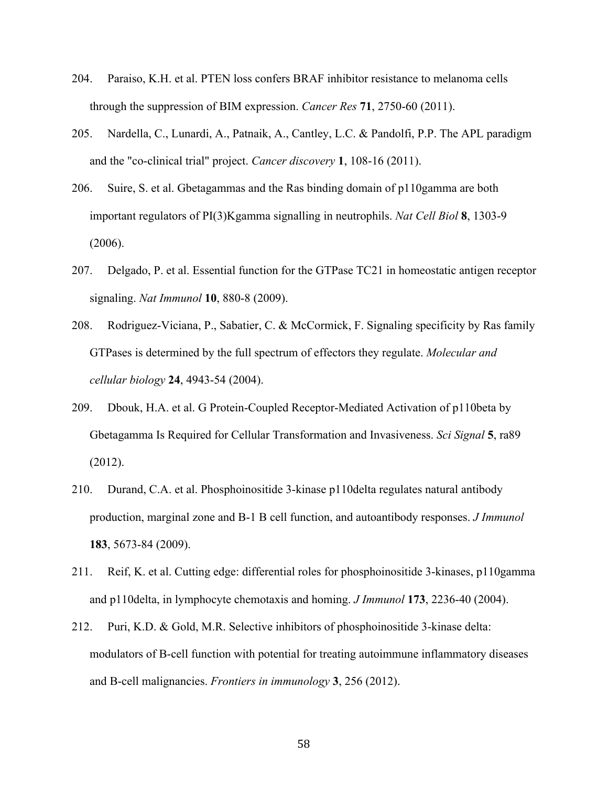- 204. Paraiso, K.H. et al. PTEN loss confers BRAF inhibitor resistance to melanoma cells through the suppression of BIM expression. *Cancer Res* **71**, 2750-60 (2011).
- 205. Nardella, C., Lunardi, A., Patnaik, A., Cantley, L.C. & Pandolfi, P.P. The APL paradigm and the "co-clinical trial" project. *Cancer discovery* **1**, 108-16 (2011).
- 206. Suire, S. et al. Gbetagammas and the Ras binding domain of p110gamma are both important regulators of PI(3)Kgamma signalling in neutrophils. *Nat Cell Biol* **8**, 1303-9 (2006).
- 207. Delgado, P. et al. Essential function for the GTPase TC21 in homeostatic antigen receptor signaling. *Nat Immunol* **10**, 880-8 (2009).
- 208. Rodriguez-Viciana, P., Sabatier, C. & McCormick, F. Signaling specificity by Ras family GTPases is determined by the full spectrum of effectors they regulate. *Molecular and cellular biology* **24**, 4943-54 (2004).
- 209. Dbouk, H.A. et al. G Protein-Coupled Receptor-Mediated Activation of p110beta by Gbetagamma Is Required for Cellular Transformation and Invasiveness. *Sci Signal* **5**, ra89 (2012).
- 210. Durand, C.A. et al. Phosphoinositide 3-kinase p110delta regulates natural antibody production, marginal zone and B-1 B cell function, and autoantibody responses. *J Immunol* **183**, 5673-84 (2009).
- 211. Reif, K. et al. Cutting edge: differential roles for phosphoinositide 3-kinases, p110gamma and p110delta, in lymphocyte chemotaxis and homing. *J Immunol* **173**, 2236-40 (2004).
- 212. Puri, K.D. & Gold, M.R. Selective inhibitors of phosphoinositide 3-kinase delta: modulators of B-cell function with potential for treating autoimmune inflammatory diseases and B-cell malignancies. *Frontiers in immunology* **3**, 256 (2012).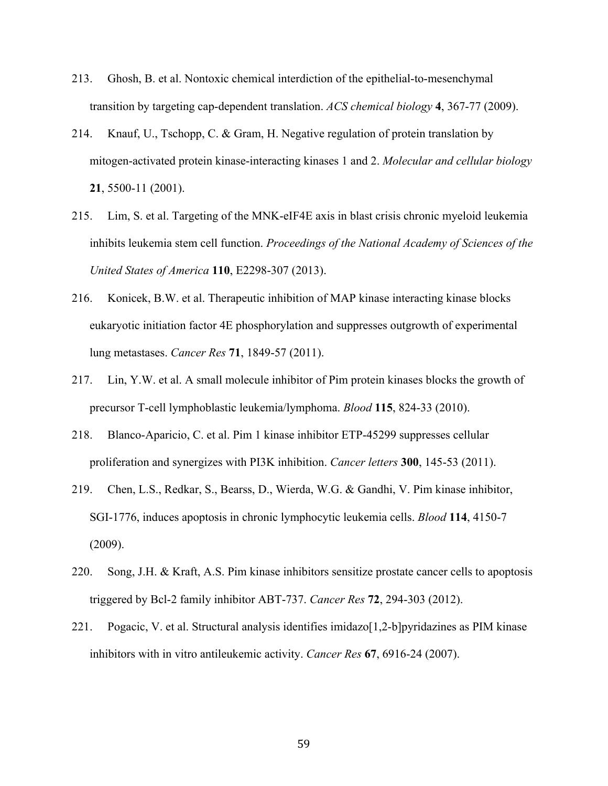- 213. Ghosh, B. et al. Nontoxic chemical interdiction of the epithelial-to-mesenchymal transition by targeting cap-dependent translation. *ACS chemical biology* **4**, 367-77 (2009).
- 214. Knauf, U., Tschopp, C. & Gram, H. Negative regulation of protein translation by mitogen-activated protein kinase-interacting kinases 1 and 2. *Molecular and cellular biology* **21**, 5500-11 (2001).
- 215. Lim, S. et al. Targeting of the MNK-eIF4E axis in blast crisis chronic myeloid leukemia inhibits leukemia stem cell function. *Proceedings of the National Academy of Sciences of the United States of America* **110**, E2298-307 (2013).
- 216. Konicek, B.W. et al. Therapeutic inhibition of MAP kinase interacting kinase blocks eukaryotic initiation factor 4E phosphorylation and suppresses outgrowth of experimental lung metastases. *Cancer Res* **71**, 1849-57 (2011).
- 217. Lin, Y.W. et al. A small molecule inhibitor of Pim protein kinases blocks the growth of precursor T-cell lymphoblastic leukemia/lymphoma. *Blood* **115**, 824-33 (2010).
- 218. Blanco-Aparicio, C. et al. Pim 1 kinase inhibitor ETP-45299 suppresses cellular proliferation and synergizes with PI3K inhibition. *Cancer letters* **300**, 145-53 (2011).
- 219. Chen, L.S., Redkar, S., Bearss, D., Wierda, W.G. & Gandhi, V. Pim kinase inhibitor, SGI-1776, induces apoptosis in chronic lymphocytic leukemia cells. *Blood* **114**, 4150-7 (2009).
- 220. Song, J.H. & Kraft, A.S. Pim kinase inhibitors sensitize prostate cancer cells to apoptosis triggered by Bcl-2 family inhibitor ABT-737. *Cancer Res* **72**, 294-303 (2012).
- 221. Pogacic, V. et al. Structural analysis identifies imidazo[1,2-b]pyridazines as PIM kinase inhibitors with in vitro antileukemic activity. *Cancer Res* **67**, 6916-24 (2007).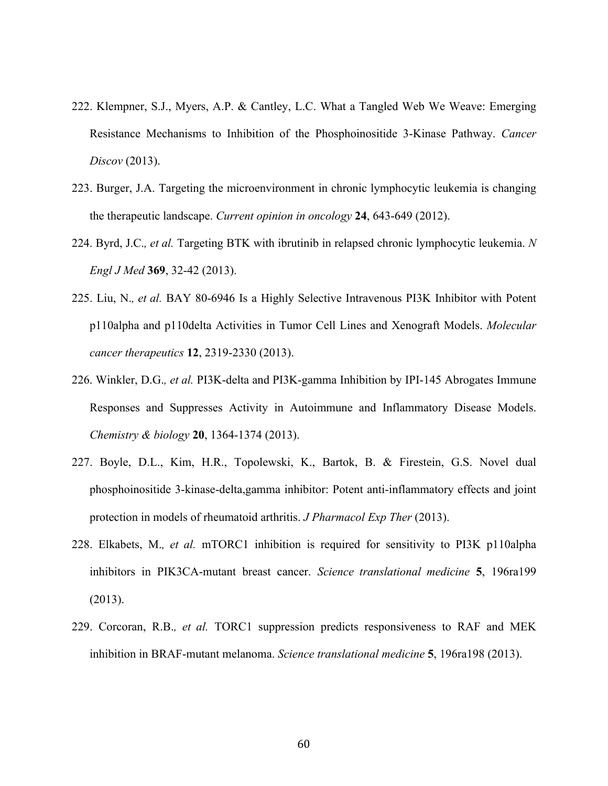- 222. Klempner, S.J., Myers, A.P. & Cantley, L.C. What a Tangled Web We Weave: Emerging Resistance Mechanisms to Inhibition of the Phosphoinositide 3-Kinase Pathway. *Cancer Discov* (2013).
- 223. Burger, J.A. Targeting the microenvironment in chronic lymphocytic leukemia is changing the therapeutic landscape. *Current opinion in oncology* **24**, 643-649 (2012).
- 224. Byrd, J.C.*, et al.* Targeting BTK with ibrutinib in relapsed chronic lymphocytic leukemia. *N Engl J Med* **369**, 32-42 (2013).
- 225. Liu, N.*, et al.* BAY 80-6946 Is a Highly Selective Intravenous PI3K Inhibitor with Potent p110alpha and p110delta Activities in Tumor Cell Lines and Xenograft Models. *Molecular cancer therapeutics* **12**, 2319-2330 (2013).
- 226. Winkler, D.G.*, et al.* PI3K-delta and PI3K-gamma Inhibition by IPI-145 Abrogates Immune Responses and Suppresses Activity in Autoimmune and Inflammatory Disease Models. *Chemistry & biology* **20**, 1364-1374 (2013).
- 227. Boyle, D.L., Kim, H.R., Topolewski, K., Bartok, B. & Firestein, G.S. Novel dual phosphoinositide 3-kinase-delta,gamma inhibitor: Potent anti-inflammatory effects and joint protection in models of rheumatoid arthritis. *J Pharmacol Exp Ther* (2013).
- 228. Elkabets, M.*, et al.* mTORC1 inhibition is required for sensitivity to PI3K p110alpha inhibitors in PIK3CA-mutant breast cancer. *Science translational medicine* **5**, 196ra199 (2013).
- 229. Corcoran, R.B.*, et al.* TORC1 suppression predicts responsiveness to RAF and MEK inhibition in BRAF-mutant melanoma. *Science translational medicine* **5**, 196ra198 (2013).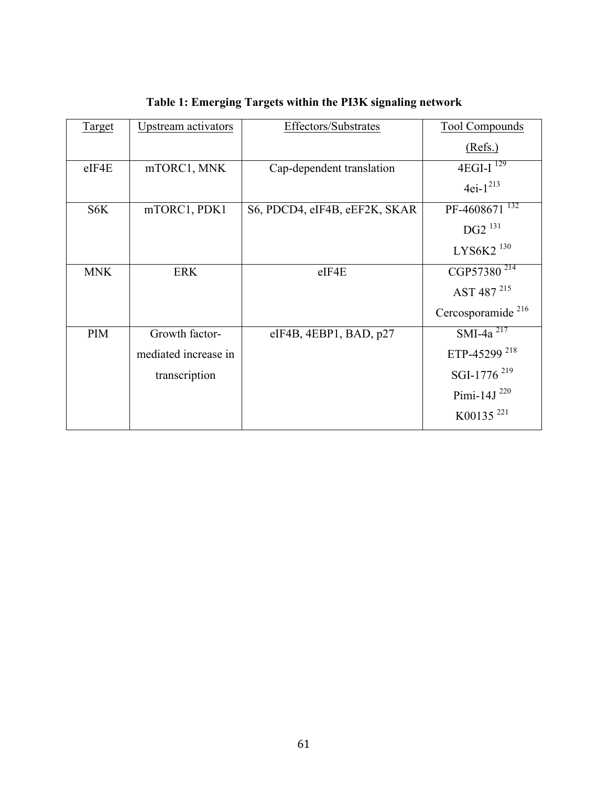| Target     | Upstream activators  | Effectors/Substrates          | <b>Tool Compounds</b>         |
|------------|----------------------|-------------------------------|-------------------------------|
|            |                      |                               | (Refs.)                       |
| eIF4E      | mTORC1, MNK          | Cap-dependent translation     | $4EGI-I$ <sup>129</sup>       |
|            |                      |                               | $4ei-1^{213}$                 |
| S6K        | mTORC1, PDK1         | S6, PDCD4, eIF4B, eEF2K, SKAR | 132<br>PF-4608671             |
|            |                      |                               | $DG2^{131}$                   |
|            |                      |                               | LYS6K2 <sup>130</sup>         |
| <b>MNK</b> | <b>ERK</b>           | $e$ IF4 $E$                   | CGP57380 <sup>214</sup>       |
|            |                      |                               | AST 487 215                   |
|            |                      |                               | Cercosporamide <sup>216</sup> |
| PIM        | Growth factor-       | $e$ IF4B, 4EBP1, BAD, p27     | $SMI-4a^{217}$                |
|            | mediated increase in |                               | ETP-45299 <sup>218</sup>      |
|            | transcription        |                               | SGI-1776 <sup>219</sup>       |
|            |                      |                               | Pimi-14J $^{220}$             |
|            |                      |                               | K00135 <sup>221</sup>         |

**Table 1: Emerging Targets within the PI3K signaling network**